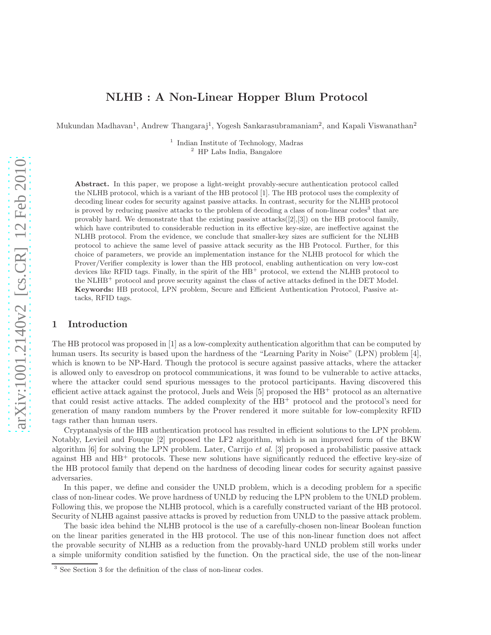# NLHB : A Non-Linear Hopper Blum Protocol

Mukundan Madhavan<sup>1</sup>, Andrew Thangaraj<sup>1</sup>, Yogesh Sankarasubramaniam<sup>2</sup>, and Kapali Viswanathan<sup>2</sup>

1 Indian Institute of Technology, Madras <sup>2</sup> HP Labs India, Bangalore

Abstract. In this paper, we propose a light-weight provably-secure authentication protocol called the NLHB protocol, which is a variant of the HB protocol [1]. The HB protocol uses the complexity of decoding linear codes for security against passive attacks. In contrast, security for the NLHB protocol is proved by reducing passive attacks to the problem of decoding a class of non-linear codes<sup>3</sup> that are provably hard. We demonstrate that the existing passive attacks $([2], [3])$  on the HB protocol family, which have contributed to considerable reduction in its effective key-size, are ineffective against the NLHB protocol. From the evidence, we conclude that smaller-key sizes are sufficient for the NLHB protocol to achieve the same level of passive attack security as the HB Protocol. Further, for this choice of parameters, we provide an implementation instance for the NLHB protocol for which the Prover/Verifier complexity is lower than the HB protocol, enabling authentication on very low-cost devices like RFID tags. Finally, in the spirit of the HB<sup>+</sup> protocol, we extend the NLHB protocol to the NLHB<sup>+</sup> protocol and prove security against the class of active attacks defined in the DET Model. Keywords: HB protocol, LPN problem, Secure and Efficient Authentication Protocol, Passive attacks, RFID tags.

## 1 Introduction

The HB protocol was proposed in [1] as a low-complexity authentication algorithm that can be computed by human users. Its security is based upon the hardness of the "Learning Parity in Noise" (LPN) problem [4], which is known to be NP-Hard. Though the protocol is secure against passive attacks, where the attacker is allowed only to eavesdrop on protocol communications, it was found to be vulnerable to active attacks, where the attacker could send spurious messages to the protocol participants. Having discovered this efficient active attack against the protocol, Juels and Weis  $[5]$  proposed the  $HB^{+}$  protocol as an alternative that could resist active attacks. The added complexity of the HB<sup>+</sup> protocol and the protocol's need for generation of many random numbers by the Prover rendered it more suitable for low-complexity RFID tags rather than human users.

Cryptanalysis of the HB authentication protocol has resulted in efficient solutions to the LPN problem. Notably, Levieil and Fouque [2] proposed the LF2 algorithm, which is an improved form of the BKW algorithm [6] for solving the LPN problem. Later, Carrijo et al. [3] proposed a probabilistic passive attack against  $HB$  and  $HB^+$  protocols. These new solutions have significantly reduced the effective key-size of the HB protocol family that depend on the hardness of decoding linear codes for security against passive adversaries.

In this paper, we define and consider the UNLD problem, which is a decoding problem for a specific class of non-linear codes. We prove hardness of UNLD by reducing the LPN problem to the UNLD problem. Following this, we propose the NLHB protocol, which is a carefully constructed variant of the HB protocol. Security of NLHB against passive attacks is proved by reduction from UNLD to the passive attack problem.

The basic idea behind the NLHB protocol is the use of a carefully-chosen non-linear Boolean function on the linear parities generated in the HB protocol. The use of this non-linear function does not affect the provable security of NLHB as a reduction from the provably-hard UNLD problem still works under a simple uniformity condition satisfied by the function. On the practical side, the use of the non-linear

<sup>3</sup> See Section 3 for the definition of the class of non-linear codes.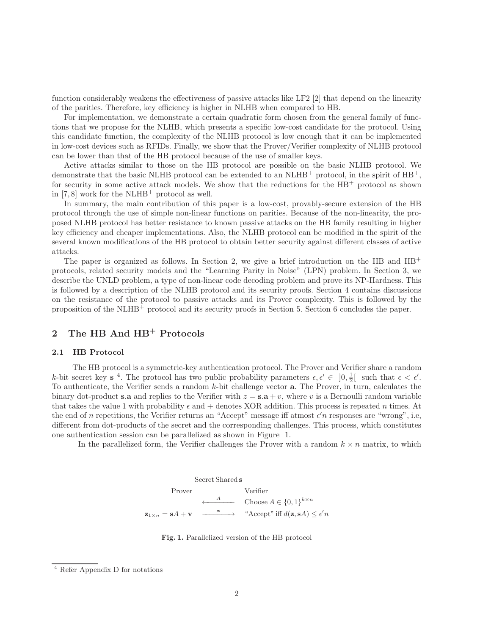function considerably weakens the effectiveness of passive attacks like LF2 [2] that depend on the linearity of the parities. Therefore, key efficiency is higher in NLHB when compared to HB.

For implementation, we demonstrate a certain quadratic form chosen from the general family of functions that we propose for the NLHB, which presents a specific low-cost candidate for the protocol. Using this candidate function, the complexity of the NLHB protocol is low enough that it can be implemented in low-cost devices such as RFIDs. Finally, we show that the Prover/Verifier complexity of NLHB protocol can be lower than that of the HB protocol because of the use of smaller keys.

Active attacks similar to those on the HB protocol are possible on the basic NLHB protocol. We demonstrate that the basic NLHB protocol can be extended to an  $NLHB^+$  protocol, in the spirit of  $HB^+$ , for security in some active attack models. We show that the reductions for the  $HB^+$  protocol as shown in  $[7, 8]$  work for the NLHB<sup>+</sup> protocol as well.

In summary, the main contribution of this paper is a low-cost, provably-secure extension of the HB protocol through the use of simple non-linear functions on parities. Because of the non-linearity, the proposed NLHB protocol has better resistance to known passive attacks on the HB family resulting in higher key efficiency and cheaper implementations. Also, the NLHB protocol can be modified in the spirit of the several known modifications of the HB protocol to obtain better security against different classes of active attacks.

The paper is organized as follows. In Section 2, we give a brief introduction on the HB and  $HB^+$ protocols, related security models and the "Learning Parity in Noise" (LPN) problem. In Section 3, we describe the UNLD problem, a type of non-linear code decoding problem and prove its NP-Hardness. This is followed by a description of the NLHB protocol and its security proofs. Section 4 contains discussions on the resistance of the protocol to passive attacks and its Prover complexity. This is followed by the proposition of the NLHB<sup>+</sup> protocol and its security proofs in Section 5. Section 6 concludes the paper.

# 2 The HB And HB<sup>+</sup> Protocols

# 2.1 HB Protocol

The HB protocol is a symmetric-key authentication protocol. The Prover and Verifier share a random k-bit secret key s<sup>4</sup>. The protocol has two public probability parameters  $\epsilon, \epsilon' \in [0, \frac{1}{2}]$  such that  $\epsilon < \epsilon'$ . To authenticate, the Verifier sends a random  $k$ -bit challenge vector **a**. The Prover, in turn, calculates the binary dot-product s.a and replies to the Verifier with  $z = s.a + v$ , where v is a Bernoulli random variable that takes the value 1 with probability  $\epsilon$  and  $+$  denotes XOR addition. This process is repeated n times. At the end of n repetitions, the Verifier returns an "Accept" message iff atmost  $\epsilon'$ n responses are "wrong", i.e, different from dot-products of the secret and the corresponding challenges. This process, which constitutes one authentication session can be parallelized as shown in Figure 1.

In the parallelized form, the Verifier challenges the Prover with a random  $k \times n$  matrix, to which

Secret Shared s

\nProver

\n
$$
\xleftarrow{A} \text{Choose } A \in \{0, 1\}^{k \times n}
$$
\n
$$
\mathbf{z}_{1 \times n} = \mathbf{s}A + \mathbf{v} \xrightarrow{\mathbf{z}} \xrightarrow{\text{``Accept''}} \text{iff } d(\mathbf{z}, \mathbf{s}A) \leq \epsilon' n
$$



<sup>4</sup> Refer Appendix D for notations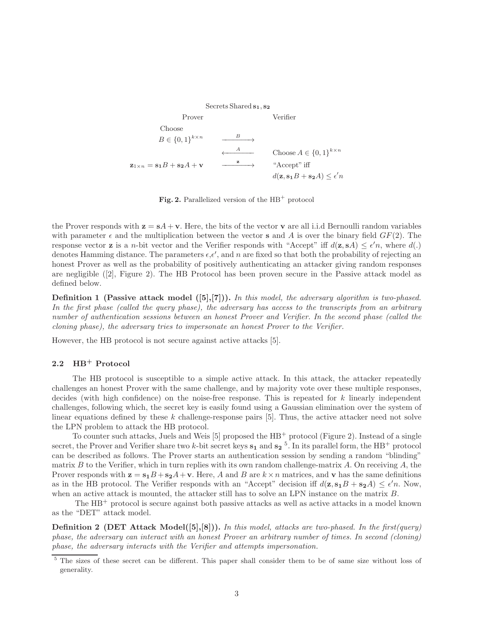Secrets Shared  $s_1, s_2$ Prover Verifier Choose  $B \in \{0,1\}^{k \times n} \longrightarrow$  $\leftarrow$ <sup>A</sup> Choose  $A \in \{0,1\}^{k \times n}$  $z_{1\times n} = s_1B + s_2A + v$  $\longrightarrow$  "Accept" iff  $d(\mathbf{z}, \mathbf{s_1}B + \mathbf{s_2}A) \leq \epsilon'n$ 

Fig. 2. Parallelized version of the  $HB^+$  protocol

the Prover responds with  $z = sA + v$ . Here, the bits of the vector v are all i.i.d Bernoulli random variables with parameter  $\epsilon$  and the multiplication between the vector **s** and A is over the binary field  $GF(2)$ . The response vector **z** is a *n*-bit vector and the Verifier responds with "Accept" iff  $d(\mathbf{z}, sA) \leq \epsilon'n$ , where  $d(.)$ denotes Hamming distance. The parameters  $\epsilon, \epsilon'$ , and n are fixed so that both the probability of rejecting an honest Prover as well as the probability of positively authenticating an attacker giving random responses are negligible ([2], Figure 2). The HB Protocol has been proven secure in the Passive attack model as defined below.

**Definition 1** (Passive attack model  $([5],[7])$ ). In this model, the adversary algorithm is two-phased. In the first phase (called the query phase), the adversary has access to the transcripts from an arbitrary number of authentication sessions between an honest Prover and Verifier. In the second phase (called the cloning phase), the adversary tries to impersonate an honest Prover to the Verifier.

However, the HB protocol is not secure against active attacks [5].

# 2.2 HB<sup>+</sup> Protocol

The HB protocol is susceptible to a simple active attack. In this attack, the attacker repeatedly challenges an honest Prover with the same challenge, and by majority vote over these multiple responses, decides (with high confidence) on the noise-free response. This is repeated for k linearly independent challenges, following which, the secret key is easily found using a Gaussian elimination over the system of linear equations defined by these k challenge-response pairs [5]. Thus, the active attacker need not solve the LPN problem to attack the HB protocol.

To counter such attacks, Juels and Weis [5] proposed the  $HB^+$  protocol (Figure 2). Instead of a single secret, the Prover and Verifier share two k-bit secret keys  $s_1$  and  $s_2$ <sup>5</sup>. In its parallel form, the HB<sup>+</sup> protocol can be described as follows. The Prover starts an authentication session by sending a random "blinding" matrix B to the Verifier, which in turn replies with its own random challenge-matrix A. On receiving A, the Prover responds with  $z = s_1B + s_2A + v$ . Here, A and B are  $k \times n$  matrices, and v has the same definitions as in the HB protocol. The Verifier responds with an "Accept" decision iff  $d(z, s_1B + s_2A) \leq \epsilon'n$ . Now, when an active attack is mounted, the attacker still has to solve an LPN instance on the matrix B.

The HB<sup>+</sup> protocol is secure against both passive attacks as well as active attacks in a model known as the "DET" attack model.

**Definition 2** (DET Attack Model([5],[8])). In this model, attacks are two-phased. In the first(query) phase, the adversary can interact with an honest Prover an arbitrary number of times. In second (cloning) phase, the adversary interacts with the Verifier and attempts impersonation.

<sup>5</sup> The sizes of these secret can be different. This paper shall consider them to be of same size without loss of generality.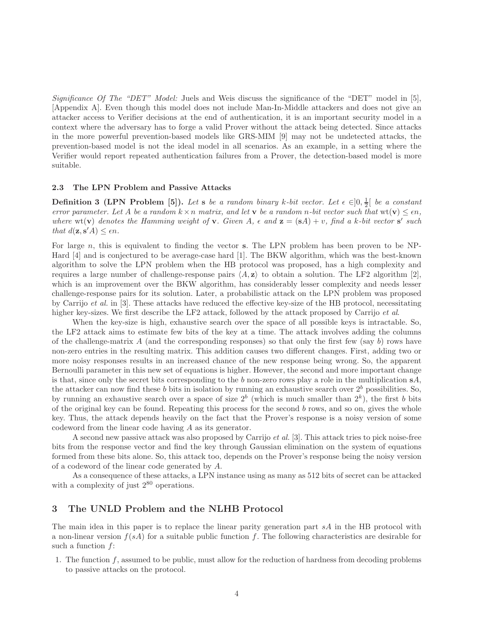Significance Of The "DET" Model: Juels and Weis discuss the significance of the "DET" model in [5], [Appendix A]. Even though this model does not include Man-In-Middle attackers and does not give an attacker access to Verifier decisions at the end of authentication, it is an important security model in a context where the adversary has to forge a valid Prover without the attack being detected. Since attacks in the more powerful prevention-based models like GRS-MIM [9] may not be undetected attacks, the prevention-based model is not the ideal model in all scenarios. As an example, in a setting where the Verifier would report repeated authentication failures from a Prover, the detection-based model is more suitable.

### 2.3 The LPN Problem and Passive Attacks

**Definition 3 (LPN Problem [5]).** Let s be a random binary k-bit vector. Let  $\epsilon \in ]0, \frac{1}{2}[$  be a constant error parameter. Let A be a random  $k \times n$  matrix, and let **v** be a random n-bit vector such that  $wt(\mathbf{v}) \leq \epsilon n$ . where  $\text{wt}(\mathbf{v})$  denotes the Hamming weight of **v**. Given A,  $\epsilon$  and  $\mathbf{z} = (\mathbf{s}A) + v$ , find a k-bit vector  $\mathbf{s}'$  such that  $d(\mathbf{z}, \mathbf{s}'A) \leq \epsilon n$ .

For large  $n$ , this is equivalent to finding the vector s. The LPN problem has been proven to be NP-Hard [4] and is conjectured to be average-case hard [1]. The BKW algorithm, which was the best-known algorithm to solve the LPN problem when the HB protocol was proposed, has a high complexity and requires a large number of challenge-response pairs  $\langle A, z \rangle$  to obtain a solution. The LF2 algorithm [2], which is an improvement over the BKW algorithm, has considerably lesser complexity and needs lesser challenge-response pairs for its solution. Later, a probabilistic attack on the LPN problem was proposed by Carrijo et al. in [3]. These attacks have reduced the effective key-size of the HB protocol, necessitating higher key-sizes. We first describe the LF2 attack, followed by the attack proposed by Carrijo *et al.* 

When the key-size is high, exhaustive search over the space of all possible keys is intractable. So, the LF2 attack aims to estimate few bits of the key at a time. The attack involves adding the columns of the challenge-matrix  $A$  (and the corresponding responses) so that only the first few (say  $b$ ) rows have non-zero entries in the resulting matrix. This addition causes two different changes. First, adding two or more noisy responses results in an increased chance of the new response being wrong. So, the apparent Bernoulli parameter in this new set of equations is higher. However, the second and more important change is that, since only the secret bits corresponding to the b non-zero rows play a role in the multiplication  $sA$ , the attacker can now find these b bits in isolation by running an exhaustive search over  $2^b$  possibilities. So, by running an exhaustive search over a space of size  $2^b$  (which is much smaller than  $2^k$ ), the first b bits of the original key can be found. Repeating this process for the second  $b$  rows, and so on, gives the whole key. Thus, the attack depends heavily on the fact that the Prover's response is a noisy version of some codeword from the linear code having A as its generator.

A second new passive attack was also proposed by Carrijo et al. [3]. This attack tries to pick noise-free bits from the response vector and find the key through Gaussian elimination on the system of equations formed from these bits alone. So, this attack too, depends on the Prover's response being the noisy version of a codeword of the linear code generated by A.

As a consequence of these attacks, a LPN instance using as many as 512 bits of secret can be attacked with a complexity of just  $2^{80}$  operations.

# 3 The UNLD Problem and the NLHB Protocol

The main idea in this paper is to replace the linear parity generation part sA in the HB protocol with a non-linear version  $f(sA)$  for a suitable public function f. The following characteristics are desirable for such a function  $f$ :

1. The function  $f$ , assumed to be public, must allow for the reduction of hardness from decoding problems to passive attacks on the protocol.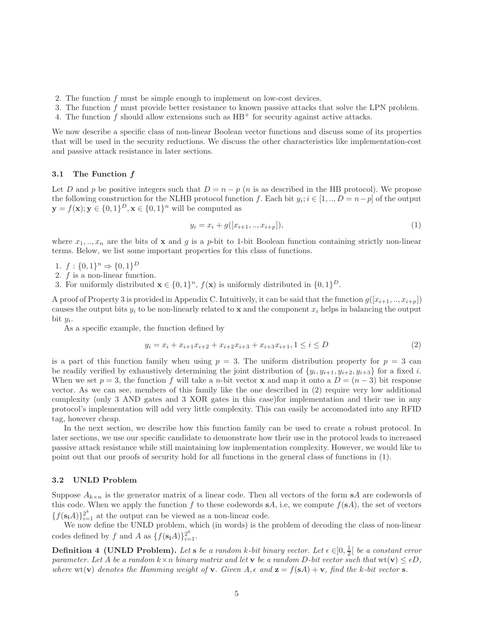- 2. The function f must be simple enough to implement on low-cost devices.
- 3. The function f must provide better resistance to known passive attacks that solve the LPN problem.
- 4. The function f should allow extensions such as  $HB^+$  for security against active attacks.

We now describe a specific class of non-linear Boolean vector functions and discuss some of its properties that will be used in the security reductions. We discuss the other characteristics like implementation-cost and passive attack resistance in later sections.

### 3.1 The Function f

Let D and p be positive integers such that  $D = n - p$  (n is as described in the HB protocol). We propose the following construction for the NLHB protocol function f. Each bit  $y_i$ ;  $i \in [1,..,D = n-p]$  of the output  $\mathbf{y} = f(\mathbf{x}); \mathbf{y} \in \{0, 1\}^D, \mathbf{x} \in \{0, 1\}^n$  will be computed as

$$
y_i = x_i + g([x_{i+1}, ..., x_{i+p}]),
$$
\n(1)

where  $x_1, \ldots, x_n$  are the bits of x and g is a p-bit to 1-bit Boolean function containing strictly non-linear terms. Below, we list some important properties for this class of functions.

1.  $f: \{0,1\}^n \Rightarrow \{0,1\}^D$ 

- 2. f is a non-linear function.
- 3. For uniformly distributed  $\mathbf{x} \in \{0,1\}^n$ ,  $f(\mathbf{x})$  is uniformly distributed in  $\{0,1\}^D$ .

A proof of Property 3 is provided in Appendix C. Intuitively, it can be said that the function  $g([x_{i+1},...,x_{i+p}])$ causes the output bits  $y_i$  to be non-linearly related to **x** and the component  $x_i$  helps in balancing the output bit  $y_i$ .

As a specific example, the function defined by

$$
y_i = x_i + x_{i+1}x_{i+2} + x_{i+2}x_{i+3} + x_{i+3}x_{i+1}, 1 \le i \le D
$$
\n<sup>(2)</sup>

is a part of this function family when using  $p = 3$ . The uniform distribution property for  $p = 3$  can be readily verified by exhaustively determining the joint distribution of  $\{y_i, y_{i+1}, y_{i+2}, y_{i+3}\}$  for a fixed i. When we set  $p = 3$ , the function f will take a n-bit vector **x** and map it onto a  $D = (n-3)$  bit response vector. As we can see, members of this family like the one described in (2) require very low additional complexity (only 3 AND gates and 3 XOR gates in this case)for implementation and their use in any protocol's implementation will add very little complexity. This can easily be accomodated into any RFID tag, however cheap.

In the next section, we describe how this function family can be used to create a robust protocol. In later sections, we use our specific candidate to demonstrate how their use in the protocol leads to increased passive attack resistance while still maintaining low implementation complexity. However, we would like to point out that our proofs of security hold for all functions in the general class of functions in (1).

### 3.2 UNLD Problem

Suppose  $A_{k\times n}$  is the generator matrix of a linear code. Then all vectors of the form sA are codewords of this code. When we apply the function f to these codewords  $sA$ , i.e, we compute  $f(sA)$ , the set of vectors  ${f(\mathbf{s_i}A)}_{i=1}^2$  at the output can be viewed as a non-linear code.

We now define the UNLD problem, which (in words) is the problem of decoding the class of non-linear codes defined by f and A as  $\{f(\mathbf{s_i}A)\}_{i=1}^{2^k}$ .

**Definition 4 (UNLD Problem).** Let s be a random k-bit binary vector. Let  $\epsilon \in ]0, \frac{1}{2}[$  be a constant error parameter. Let A be a random  $k \times n$  binary matrix and let **v** be a random D-bit vector such that  $wt(\mathbf{v}) \leq \epsilon D$ , where  $wt(v)$  denotes the Hamming weight of v. Given  $A, \epsilon$  and  $z = f(sA) + v$ , find the k-bit vector s.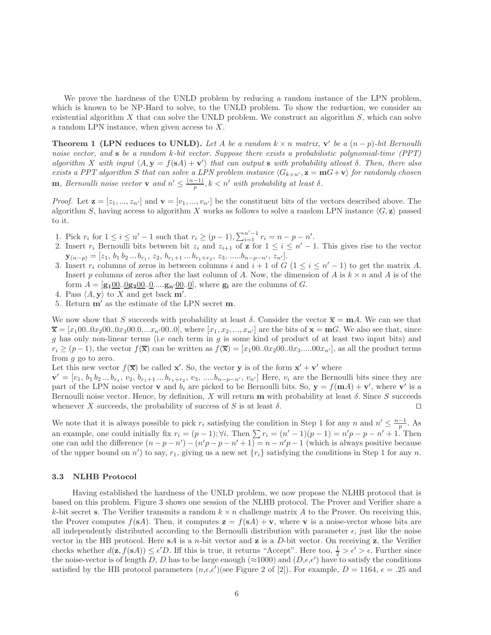We prove the hardness of the UNLD problem by reducing a random instance of the LPN problem, which is known to be NP-Hard to solve, to the UNLD problem. To show the reduction, we consider an existential algorithm  $X$  that can solve the UNLD problem. We construct an algorithm  $S$ , which can solve a random LPN instance, when given access to  $X$ .

**Theorem 1 (LPN reduces to UNLD).** Let A be a random  $k \times n$  matrix,  $\mathbf{v}'$  be a  $(n-p)$ -bit Bernoulli noise vector, and **s** be a random k-bit vector. Suppose there exists a probabilistic polynomial-time (PPT) algorithm X with input  $\langle A, y = f(sA) + v' \rangle$  that can output s with probability at east  $\delta$ . Then, there also exists a PPT algorithm S that can solve a LPN problem instance  $\langle G_{k\times n'} , z = mG + v \rangle$  for randomly chosen **m**, Bernoulli noise vector **v** and  $n' \leq \frac{(n-1)}{p}$ ,  $k < n'$  with probability at least  $\delta$ .

*Proof.* Let  $\mathbf{z} = [z_1, ..., z_{n'}]$  and  $\mathbf{v} = [v_1, ..., v_{n'}]$  be the constituent bits of the vectors described above. The algorithm S, having access to algorithm X works as follows to solve a random LPN instance  $\langle G, \mathbf{z} \rangle$  passed to it.

- 1. Pick  $r_i$  for  $1 \le i \le n' 1$  such that  $r_i \ge (p 1), \sum_{i=1}^{n'-1} r_i = n p n'$ .
- 2. Insert  $r_i$  Bernoulli bits between bit  $z_i$  and  $z_{i+1}$  of  $z$  for  $1 \leq i \leq n'-1$ . This gives rise to the vector  $\mathbf{y}_{(n-p)} = [z_1, b_1 b_2 ... b_{r_1}, z_2, b_{r_1+1} ... b_{r_1+r_2}, z_3, ..... b_{n-p-n'}, z_{n'}].$
- 3. Insert  $r_i$  columns of zeros in between columns i and  $i+1$  of  $G$   $(1 \leq i \leq n'-1)$  to get the matrix A. Insert p columns of zeros after the last column of A. Now, the dimension of A is  $k \times n$  and A is of the form  $A = [\mathbf{g_1}00..0\mathbf{g_2}00..0... \mathbf{g_n}/00..0],$  where  $\mathbf{g_i}$  are the columns of G.
- 4. Pass  $\langle A, y \rangle$  to X and get back m'.
- 5. Return m′ as the estimate of the LPN secret m.

We now show that S succeeds with probability at least  $\delta$ . Consider the vector  $\overline{\mathbf{x}} = \mathbf{m}A$ . We can see that  $\overline{\mathbf{x}} = [x_1 00..0x_2 00..0x_3 00..0...x_{n'} 00..0],$  where  $[x_1, x_2, ..., x_{n'}]$  are the bits of  $\mathbf{x} = \mathbf{m}G$ . We also see that, since  $g$  has only non-linear terms (i.e each term in  $g$  is some kind of product of at least two input bits) and  $r_i \ge (p-1)$ , the vector  $f(\overline{\mathbf{x}})$  can be written as  $f(\overline{\mathbf{x}}) = [x_100..0x_200..0x_3.....00x_{n'}]$ , as all the product terms from g go to zero.

Let this new vector  $f(\overline{x})$  be called  $x'$ . So, the vector y is of the form  $x' + v'$  where

 $\mathbf{v}' = [v_1, b_1 b_2 ... b_{r_1}, v_2, b_{r_1+1} ... b_{r_1+r_2}, v_3, ..... b_{n-p-n'}, v_{n'}]$  Here,  $v_i$  are the Bernoulli bits since they are part of the LPN noise vector **v** and  $b_i$  are picked to be Bernoulli bits. So,  $y = f(mA) + v'$ , where **v**' is a Bernoulli noise vector. Hence, by definition, X will return  $\bf{m}$  with probability at least  $\delta$ . Since S succeeds whenever X succeeds, the probability of success of S is at least  $\delta$ . □

We note that it is always possible to pick  $r_i$  satisfying the condition in Step 1 for any n and  $n' \leq \frac{n-1}{p}$ . As an example, one could initially fix  $r_i = (p-1)$ ;  $\forall i$ . Then  $\sum r_i = (n'-1)(p-1) = n'p - p - n' + 1$ . Then one can add the difference  $(n - p - n') - (n'p - p - n' + 1) = n - n'p - 1$  (which is always positive because of the upper bound on  $n'$ ) to say,  $r_1$ , giving us a new set  $\{r_i\}$  satisfying the conditions in Step 1 for any n.

### 3.3 NLHB Protocol

Having established the hardness of the UNLD problem, we now propose the NLHB protocol that is based on this problem. Figure 3 shows one session of the NLHB protocol. The Prover and Verifier share a k-bit secret s. The Verifier transmits a random  $k \times n$  challenge matrix A to the Prover. On receiving this, the Prover computes  $f(\mathbf{s}A)$ . Then, it computes  $\mathbf{z} = f(\mathbf{s}A) + \mathbf{v}$ , where  $\mathbf{v}$  is a noise-vector whose bits are all independently distributed according to the Bernoulli distribution with parameter  $\epsilon$ , just like the noise vector in the HB protocol. Here  $sA$  is a n-bit vector and z is a D-bit vector. On receiving z, the Verifier checks whether  $d(\mathbf{z}, f(\mathbf{s}A)) \leq \epsilon'D$ . Iff this is true, it returns "Accept". Here too,  $\frac{1}{2} > \epsilon' > \epsilon$ . Further since the noise-vector is of length D, D has to be large enough ( $\approx$ 1000) and  $(D, \epsilon, \epsilon')$  have to satisfy the conditions satisfied by the HB protocol parameters  $(n, \epsilon, \epsilon')$  (see Figure 2 of [2]). For example,  $D = 1164$ ,  $\epsilon = .25$  and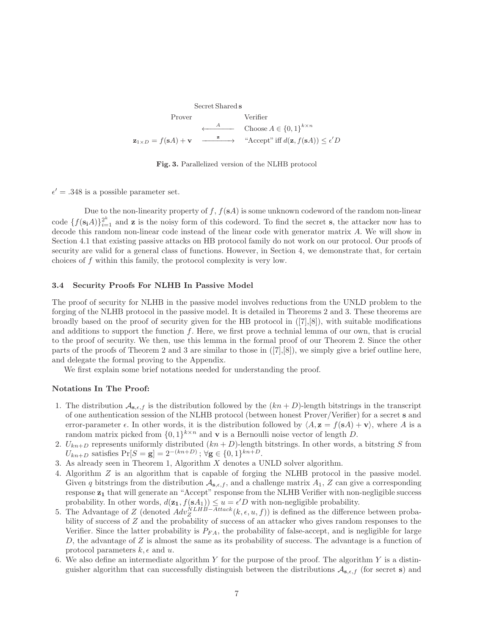Secret Shared s Prover Verifier  $\leftarrow$ <sup>A</sup> Choose  $A \in \{0,1\}^{k \times n}$  $\mathbf{z}_{1\times D} = f(\mathbf{s}A) + \mathbf{v}$  $\longrightarrow$  "Accept" iff  $d(\mathbf{z}, f(\mathbf{s}A)) \leq \epsilon'D$ 

Fig. 3. Parallelized version of the NLHB protocol

 $\epsilon' = .348$  is a possible parameter set.

Due to the non-linearity property of  $f, f(\mathbf{s}_A)$  is some unknown codeword of the random non-linear code  $\{f(\mathbf{s_i}A)\}_{i=1}^{2^k}$  and **z** is the noisy form of this codeword. To find the secret **s**, the attacker now has to decode this random non-linear code instead of the linear code with generator matrix A. We will show in Section 4.1 that existing passive attacks on HB protocol family do not work on our protocol. Our proofs of security are valid for a general class of functions. However, in Section 4, we demonstrate that, for certain choices of f within this family, the protocol complexity is very low.

## 3.4 Security Proofs For NLHB In Passive Model

The proof of security for NLHB in the passive model involves reductions from the UNLD problem to the forging of the NLHB protocol in the passive model. It is detailed in Theorems 2 and 3. These theorems are broadly based on the proof of security given for the HB protocol in  $([7],[8])$ , with suitable modifications and additions to support the function  $f$ . Here, we first prove a technial lemma of our own, that is crucial to the proof of security. We then, use this lemma in the formal proof of our Theorem 2. Since the other parts of the proofs of Theorem 2 and 3 are similar to those in  $([7],[8])$ , we simply give a brief outline here, and delegate the formal proving to the Appendix.

We first explain some brief notations needed for understanding the proof.

### Notations In The Proof:

- 1. The distribution  $\mathcal{A}_{\mathbf{s},\epsilon,f}$  is the distribution followed by the  $(kn + D)$ -length bitstrings in the transcript of one authentication session of the NLHB protocol (between honest Prover/Verifier) for a secret s and error-parameter  $\epsilon$ . In other words, it is the distribution followed by  $\langle A, z = f(sA) + v \rangle$ , where A is a random matrix picked from  $\{0,1\}^{k \times n}$  and **v** is a Bernoulli noise vector of length D.
- 2.  $U_{kn+D}$  represents uniformly distributed  $(kn+D)$ -length bitstrings. In other words, a bitstring S from  $U_{kn+D}$  satisfies  $Pr[S = g] = 2^{-(kn+D)}$ ;  $\forall g \in \{0, 1\}^{kn+D}$ .
- 3. As already seen in Theorem 1, Algorithm X denotes a UNLD solver algorithm.
- 4. Algorithm Z is an algorithm that is capable of forging the NLHB protocol in the passive model. Given q bitstrings from the distribution  $\mathcal{A}_{s,\epsilon,f}$ , and a challenge matrix  $A_1$ , Z can give a corresponding response  $z_1$  that will generate an "Accept" response from the NLHB Verifier with non-negligible success probability. In other words,  $d(\mathbf{z_1}, f(\mathbf{s}A_1)) \leq u = \epsilon'D$  with non-negligible probability.
- 5. The Advantage of Z (denoted  $Adv^{NLHB-Attack}_{Z}(k, \epsilon, u, f)$ ) is defined as the difference between probability of success of Z and the probability of success of an attacker who gives random responses to the Verifier. Since the latter probability is  $P_{FA}$ , the probability of false-accept, and is negligible for large  $D$ , the advantage of  $Z$  is almost the same as its probability of success. The advantage is a function of protocol parameters  $k, \epsilon$  and  $u$ .
- 6. We also define an intermediate algorithm  $Y$  for the purpose of the proof. The algorithm  $Y$  is a distinguisher algorithm that can successfully distinguish between the distributions  $\mathcal{A}_{s,\epsilon,f}$  (for secret s) and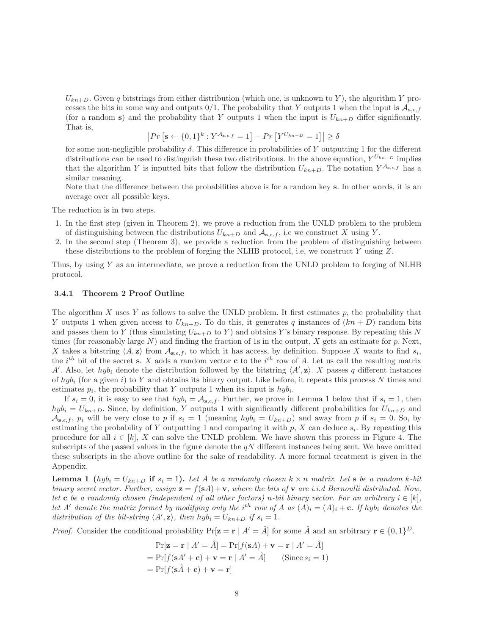$U_{kn+D}$ . Given q bitstrings from either distribution (which one, is unknown to Y), the algorithm Y processes the bits in some way and outputs  $0/1$ . The probability that Y outputs 1 when the input is  $\mathcal{A}_{s,\epsilon,f}$ (for a random s) and the probability that Y outputs 1 when the input is  $U_{kn+D}$  differ significantly. That is,

$$
|Pr\left[\mathbf{s} \leftarrow \{0, 1\}^{k} : Y^{\mathcal{A}_{\mathbf{s}, \epsilon, f}} = 1\right] - Pr\left[Y^{U_{kn+D}} = 1\right]| \ge \delta
$$

for some non-negligible probability  $\delta$ . This difference in probabilities of Y outputting 1 for the different distributions can be used to distinguish these two distributions. In the above equation,  $Y^{U_{kn+D}}$  implies that the algorithm Y is inputted bits that follow the distribution  $U_{kn+D}$ . The notation  $Y^{\mathcal{A}_{s,\epsilon,f}}$  has a similar meaning.

Note that the difference between the probabilities above is for a random key s. In other words, it is an average over all possible keys.

The reduction is in two steps.

- 1. In the first step (given in Theorem 2), we prove a reduction from the UNLD problem to the problem of distinguishing between the distributions  $U_{kn+D}$  and  $\mathcal{A}_{s,\epsilon,f}$ , i.e we construct X using Y.
- 2. In the second step (Theorem 3), we provide a reduction from the problem of distinguishing between these distributions to the problem of forging the NLHB protocol, i.e, we construct Y using Z.

Thus, by using Y as an intermediate, we prove a reduction from the UNLD problem to forging of NLHB protocol.

#### 3.4.1 Theorem 2 Proof Outline

The algorithm  $X$  uses  $Y$  as follows to solve the UNLD problem. It first estimates  $p$ , the probability that Y outputs 1 when given access to  $U_{kn+D}$ . To do this, it generates q instances of  $(kn+D)$  random bits and passes them to Y (thus simulating  $U_{kn+D}$  to Y) and obtains Y's binary response. By repeating this N times (for reasonably large  $N$ ) and finding the fraction of 1s in the output, X gets an estimate for p. Next, X takes a bitstring  $\langle A, \mathbf{z} \rangle$  from  $\mathcal{A}_{\mathbf{s},\epsilon,f}$ , to which it has access, by definition. Suppose X wants to find  $s_i$ , the  $i^{th}$  bit of the secret s. X adds a random vector c to the  $i^{th}$  row of A. Let us call the resulting matrix A'. Also, let  $h y b_i$  denote the distribution followed by the bitstring  $\langle A', \mathbf{z} \rangle$ . X passes q different instances of  $hyb_i$  (for a given i) to Y and obtains its binary output. Like before, it repeats this process N times and estimates  $p_i$ , the probability that Y outputs 1 when its input is  $h y b_i$ .

If  $s_i = 0$ , it is easy to see that  $hyb_i = A_{s,\epsilon,f}$ . Further, we prove in Lemma 1 below that if  $s_i = 1$ , then  $hyb_i = U_{kn+D}$ . Since, by definition, Y outputs 1 with significantly different probabilities for  $U_{kn+D}$  and  $\mathcal{A}_{s,\epsilon,f}, p_i$  will be very close to p if  $s_i = 1$  (meaning  $hyb_i = U_{kn+D}$ ) and away from p if  $s_i = 0$ . So, by estimating the probability of Y outputting 1 and comparing it with  $p$ , X can deduce  $s_i$ . By repeating this procedure for all  $i \in [k]$ , X can solve the UNLD problem. We have shown this process in Figure 4. The subscripts of the passed values in the figure denote the  $qN$  different instances being sent. We have omitted these subscripts in the above outline for the sake of readability. A more formal treatment is given in the Appendix.

**Lemma 1** (hyb<sub>i</sub> =  $U_{kn+D}$  if  $s_i = 1$ ). Let A be a randomly chosen  $k \times n$  matrix. Let s be a random k-bit binary secret vector. Further, assign  $z = f(sA) + v$ , where the bits of v are i.i.d Bernoulli distributed. Now, let c be a randomly chosen (independent of all other factors) n-bit binary vector. For an arbitrary  $i \in [k]$ , let A' denote the matrix formed by modifying only the i<sup>th</sup> row of A as  $(A)_i = (A)_i + c$ . If hyb<sub>i</sub> denotes the distribution of the bit-string  $\langle A', \mathbf{z} \rangle$ , then  $hyb_i = U_{kn+D}$  if  $s_i = 1$ .

*Proof.* Consider the conditional probability  $Pr[\mathbf{z} = \mathbf{r} | A' = \hat{A}]$  for some  $\hat{A}$  and an arbitrary  $\mathbf{r} \in \{0, 1\}^D$ .

$$
\Pr[\mathbf{z} = \mathbf{r} | A' = \hat{A}] = \Pr[f(\mathbf{s}A) + \mathbf{v} = \mathbf{r} | A' = \hat{A}]
$$
  
= 
$$
\Pr[f(\mathbf{s}A' + \mathbf{c}) + \mathbf{v} = \mathbf{r} | A' = \hat{A}]
$$
 (Since  $s_i = 1$ )  
= 
$$
\Pr[f(\mathbf{s}\hat{A} + \mathbf{c}) + \mathbf{v} = \mathbf{r}]
$$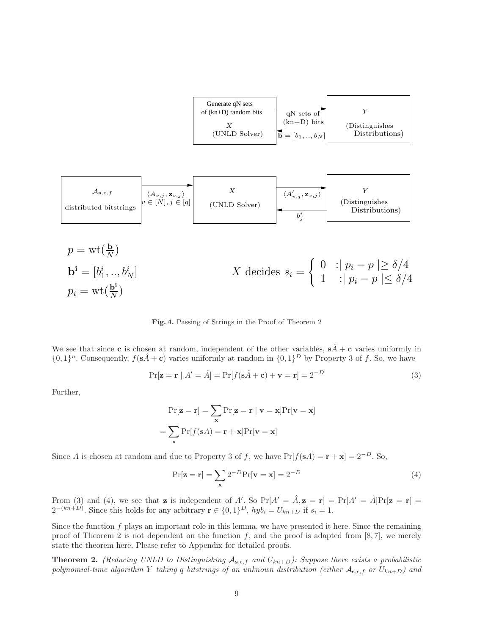| Generate qN sets<br>of $(kn+D)$ random bits | qN sets of                                  |                                   |
|---------------------------------------------|---------------------------------------------|-----------------------------------|
| (UNLD Solver)                               | $(kn+D)$ bits<br>$ \vec{b} = [b_1, , b_N] $ | (Distinguishes)<br>Distributions) |

| $\mathcal{A}_{s,\epsilon,f}$ | $\chi$                 | $\chi$                                       |        |
|------------------------------|------------------------|----------------------------------------------|--------|
| distributed bitstrings       | $v \in [N], j \in [q]$ | $(UNLD$ Solve)                               | $\chi$ |
| $\psi$                       | $\chi$                 | $\langle A'_{v,j}, \mathbf{z}_{v,j} \rangle$ | $Y$    |

\n(Distinguishes  
Distributions)

$$
p = \text{wt}(\frac{\mathbf{b}}{N})
$$
  
\n
$$
\mathbf{b}^{i} = [b_{1}^{i}, ..., b_{N}^{i}]
$$
  
\n
$$
p_{i} = \text{wt}(\frac{\mathbf{b}^{i}}{N})
$$
  
\n
$$
X \text{ decides } s_{i} = \begin{cases} 0 & \text{if } p_{i} - p \ge \delta/4 \\ 1 & \text{if } p_{i} - p \le \delta/4 \end{cases}
$$

Fig. 4. Passing of Strings in the Proof of Theorem 2

We see that since **c** is chosen at random, independent of the other variables,  $s\hat{A} + c$  varies uniformly in  $\{0,1\}^n$ . Consequently,  $f(\mathbf{s}\hat{A}+\mathbf{c})$  varies uniformly at random in  $\{0,1\}^D$  by Property 3 of f. So, we have

$$
\Pr[\mathbf{z} = \mathbf{r} \mid A' = \hat{A}] = \Pr[f(\mathbf{s}\hat{A} + \mathbf{c}) + \mathbf{v} = \mathbf{r}] = 2^{-D}
$$
\n(3)

Further,

$$
Pr[\mathbf{z} = \mathbf{r}] = \sum_{\mathbf{x}} Pr[\mathbf{z} = \mathbf{r} | \mathbf{v} = \mathbf{x}] Pr[\mathbf{v} = \mathbf{x}]
$$

$$
= \sum_{\mathbf{x}} Pr[f(\mathbf{s}A) = \mathbf{r} + \mathbf{x}] Pr[\mathbf{v} = \mathbf{x}]
$$

Since A is chosen at random and due to Property 3 of f, we have  $Pr[f(sA) = r + x] = 2^{-D}$ . So,

$$
\Pr[\mathbf{z} = \mathbf{r}] = \sum_{\mathbf{x}} 2^{-D} \Pr[\mathbf{v} = \mathbf{x}] = 2^{-D}
$$
\n(4)

From (3) and (4), we see that **z** is independent of A'. So  $Pr[A' = \hat{A}, \mathbf{z} = \mathbf{r}] = Pr[A' = \hat{A}]Pr[\mathbf{z} = \mathbf{r}]$  $2^{-(kn+D)}$ . Since this holds for any arbitrary  $\mathbf{r} \in \{0,1\}^D$ ,  $hyb_i = U_{kn+D}$  if  $s_i = 1$ .

Since the function  $f$  plays an important role in this lemma, we have presented it here. Since the remaining proof of Theorem 2 is not dependent on the function f, and the proof is adapted from [8, 7], we merely state the theorem here. Please refer to Appendix for detailed proofs.

**Theorem 2.** (Reducing UNLD to Distinguishing  $A_{s,\epsilon,f}$  and  $U_{kn+D}$ ): Suppose there exists a probabilistic polynomial-time algorithm Y taking q bitstrings of an unknown distribution (either  $A_{s,\epsilon,f}$  or  $U_{kn+D}$ ) and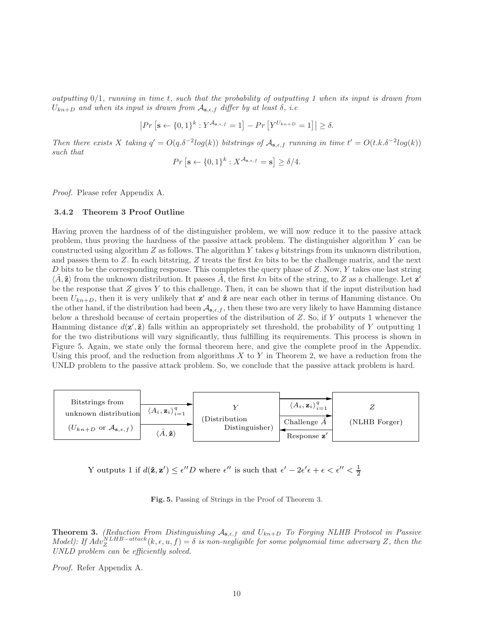outputting 0/1, running in time t, such that the probability of outputting 1 when its input is drawn from  $U_{kn+D}$  and when its input is drawn from  $\mathcal{A}_{\mathbf{s},\epsilon,f}$  differ by at least  $\delta$ , i.e

$$
\left| Pr\left[\mathbf{s} \leftarrow \{0,1\}^k : Y^{\mathcal{A}_{\mathbf{s},\epsilon,f}} = 1 \right] - Pr\left[ Y^{U_{kn+D}} = 1 \right] \right| \ge \delta.
$$

Then there exists X taking  $q' = O(q.\delta^{-2}log(k))$  bitstrings of  $\mathcal{A}_{s,\epsilon,f}$  running in time  $t' = O(t.k.\delta^{-2}log(k))$ such that

$$
Pr\left[\mathbf{s} \leftarrow \{0, 1\}^k : X^{\mathcal{A}_{\mathbf{s}, \epsilon, f}} = \mathbf{s}\right] \ge \delta/4.
$$

Proof. Please refer Appendix A.

### 3.4.2 Theorem 3 Proof Outline

Having proven the hardness of of the distinguisher problem, we will now reduce it to the passive attack problem, thus proving the hardness of the passive attack problem. The distinguisher algorithm Y can be constructed using algorithm  $Z$  as follows. The algorithm  $Y$  takes  $q$  bitstrings from its unknown distribution, and passes them to  $Z$ . In each bitstring,  $Z$  treats the first kn bits to be the challenge matrix, and the next D bits to be the corresponding response. This completes the query phase of  $Z$ . Now,  $Y$  takes one last string  $\langle \hat{A}, \hat{\mathbf{z}} \rangle$  from the unknown distribution. It passes  $\hat{A}$ , the first kn bits of the string, to Z as a challenge. Let  $\mathbf{z}'$ be the response that  $Z$  gives  $Y$  to this challenge. Then, it can be shown that if the input distribution had been  $U_{kn+D}$ , then it is very unlikely that  $\mathbf{z}'$  and  $\hat{\mathbf{z}}$  are near each other in terms of Hamming distance. On the other hand, if the distribution had been  $\mathcal{A}_{s,\epsilon,f}$ , then these two are very likely to have Hamming distance below a threshold because of certain properties of the distribution of Z. So, if Y outputs 1 whenever the Hamming distance  $d(\mathbf{z}', \hat{\mathbf{z}})$  falls within an appropriately set threshold, the probability of Y outputting 1 for the two distributions will vary significantly, thus fulfilling its requirements. This process is shown in Figure 5. Again, we state only the formal theorem here, and give the complete proof in the Appendix. Using this proof, and the reduction from algorithms  $X$  to  $Y$  in Theorem 2, we have a reduction from the UNLD problem to the passive attack problem. So, we conclude that the passive attack problem is hard.



Y outputs 1 if  $d(\hat{\mathbf{z}}, \mathbf{z}') \leq \epsilon'' D$  where  $\epsilon''$  is such that  $\epsilon' - 2\epsilon' \epsilon + \epsilon < \epsilon'' < \frac{1}{2}$ 

Fig. 5. Passing of Strings in the Proof of Theorem 3.

**Theorem 3.** (Reduction From Distinguishing  $A_{s,\epsilon,f}$  and  $U_{kn+D}$  To Forging NLHB Protocol in Passive Model): If  $Adv_Z^{NLHB-attack}(k, \epsilon, u, f) = \delta$  is non-negligible for some polynomial time adversary Z, then the UNLD problem can be efficiently solved.

Proof. Refer Appendix A.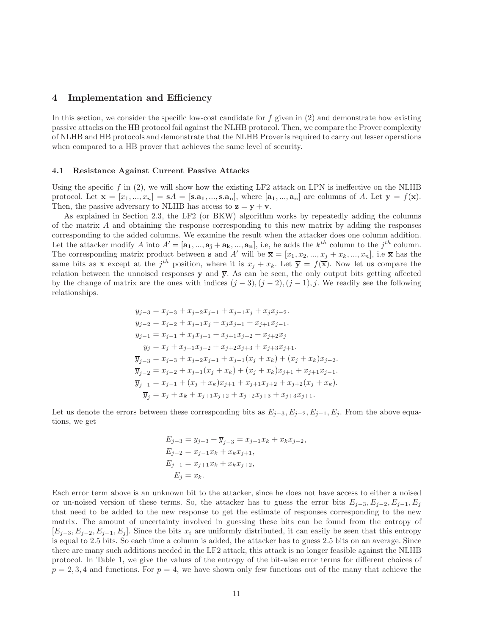# 4 Implementation and Efficiency

In this section, we consider the specific low-cost candidate for  $f$  given in  $(2)$  and demonstrate how existing passive attacks on the HB protocol fail against the NLHB protocol. Then, we compare the Prover complexity of NLHB and HB protocols and demonstrate that the NLHB Prover is required to carry out lesser operations when compared to a HB prover that achieves the same level of security.

#### 4.1 Resistance Against Current Passive Attacks

Using the specific f in  $(2)$ , we will show how the existing LF2 attack on LPN is ineffective on the NLHB protocol. Let  $\mathbf{x} = [x_1, ..., x_n] = \mathbf{s}A = [\mathbf{s}.\mathbf{a}_1, ..., \mathbf{s}.\mathbf{a}_n]$ , where  $[\mathbf{a}_1, ..., \mathbf{a}_n]$  are columns of A. Let  $\mathbf{y} = f(\mathbf{x})$ . Then, the passive adversary to NLHB has access to  $z = y + v$ .

As explained in Section 2.3, the LF2 (or BKW) algorithm works by repeatedly adding the columns of the matrix A and obtaining the response corresponding to this new matrix by adding the responses corresponding to the added columns. We examine the result when the attacker does one column addition. Let the attacker modify A into  $A' = [\mathbf{a_1},...,\mathbf{a_j} + \mathbf{a_k},...,\mathbf{a_n}]$ , i.e, he adds the  $k^{th}$  column to the  $j^{th}$  column. The corresponding matrix product between **s** and A' will be  $\overline{\mathbf{x}} = [x_1, x_2, ..., x_j + x_k, ..., x_n]$ , i.e  $\overline{\mathbf{x}}$  has the same bits as **x** except at the j<sup>th</sup> position, where it is  $x_j + x_k$ . Let  $\overline{y} = f(\overline{x})$ . Now let us compare the relation between the unnoised responses  $y$  and  $\overline{y}$ . As can be seen, the only output bits getting affected by the change of matrix are the ones with indices  $(j-3)$ ,  $(j-2)$ ,  $(j-1)$ , j. We readily see the following relationships.

$$
y_{j-3} = x_{j-3} + x_{j-2}x_{j-1} + x_{j-1}x_j + x_jx_{j-2}.
$$
  
\n
$$
y_{j-2} = x_{j-2} + x_{j-1}x_j + x_jx_{j+1} + x_{j+1}x_{j-1}.
$$
  
\n
$$
y_{j-1} = x_{j-1} + x_jx_{j+1} + x_{j+1}x_{j+2} + x_{j+2}x_j
$$
  
\n
$$
y_j = x_j + x_{j+1}x_{j+2} + x_{j+2}x_{j+3} + x_{j+3}x_{j+1}.
$$
  
\n
$$
\overline{y}_{j-3} = x_{j-3} + x_{j-2}x_{j-1} + x_{j-1}(x_j + x_k) + (x_j + x_k)x_{j-2}.
$$
  
\n
$$
\overline{y}_{j-2} = x_{j-2} + x_{j-1}(x_j + x_k) + (x_j + x_k)x_{j+1} + x_{j+1}x_{j-1}.
$$
  
\n
$$
\overline{y}_{j-1} = x_{j-1} + (x_j + x_k)x_{j+1} + x_{j+1}x_{j+2} + x_{j+2}(x_j + x_k).
$$
  
\n
$$
\overline{y}_j = x_j + x_k + x_{j+1}x_{j+2} + x_{j+2}x_{j+3} + x_{j+3}x_{j+1}.
$$

Let us denote the errors between these corresponding bits as  $E_{j-3}, E_{j-2}, E_{j-1}, E_j$ . From the above equations, we get

$$
E_{j-3} = y_{j-3} + \overline{y}_{j-3} = x_{j-1}x_k + x_k x_{j-2},
$$
  
\n
$$
E_{j-2} = x_{j-1}x_k + x_k x_{j+1},
$$
  
\n
$$
E_{j-1} = x_{j+1}x_k + x_k x_{j+2},
$$
  
\n
$$
E_j = x_k.
$$

Each error term above is an unknown bit to the attacker, since he does not have access to either a noised or un-noised version of these terms. So, the attacker has to guess the error bits  $E_{j-3}, E_{j-2}, E_{j-1}, E_j$ that need to be added to the new response to get the estimate of responses corresponding to the new matrix. The amount of uncertainty involved in guessing these bits can be found from the entropy of  $[E_{j-3}, E_{j-2}, E_{j-1}, E_j]$ . Since the bits  $x_i$  are uniformly distributed, it can easily be seen that this entropy is equal to 2.5 bits. So each time a column is added, the attacker has to guess 2.5 bits on an average. Since there are many such additions needed in the LF2 attack, this attack is no longer feasible against the NLHB protocol. In Table 1, we give the values of the entropy of the bit-wise error terms for different choices of  $p = 2, 3, 4$  and functions. For  $p = 4$ , we have shown only few functions out of the many that achieve the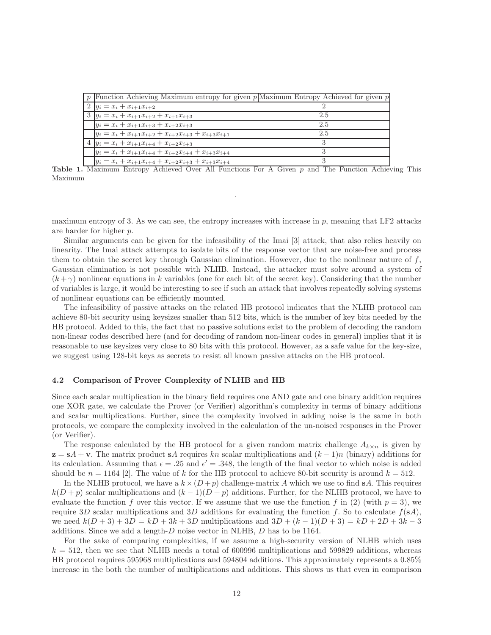| p   Function Achieving Maximum entropy for given $p$   Maximum Entropy Achieved for given p |     |
|---------------------------------------------------------------------------------------------|-----|
| $2   y_i = x_i + x_{i+1}x_{i+2}$                                                            |     |
| $3   y_i = x_i + x_{i+1}x_{i+2} + x_{i+1}x_{i+3}$                                           | 2.5 |
| $y_i = x_i + x_{i+1}x_{i+3} + x_{i+2}x_{i+3}$                                               | 2.5 |
| $y_i = x_i + x_{i+1}x_{i+2} + x_{i+2}x_{i+3} + x_{i+3}x_{i+1}$                              | 2.5 |
| 4 $ y_i = x_i + x_{i+1}x_{i+4} + x_{i+2}x_{i+3} $                                           |     |
| $y_i = x_i + x_{i+1}x_{i+4} + x_{i+2}x_{i+4} + x_{i+3}x_{i+4}$                              |     |
| $y_i = x_i + x_{i+1}x_{i+4} + x_{i+2}x_{i+3} + x_{i+3}x_{i+4}$                              |     |

Table 1. Maximum Entropy Achieved Over All Functions For A Given p and The Function Achieving This Maximum

.

maximum entropy of 3. As we can see, the entropy increases with increase in  $p$ , meaning that LF2 attacks are harder for higher p.

Similar arguments can be given for the infeasibility of the Imai [3] attack, that also relies heavily on linearity. The Imai attack attempts to isolate bits of the response vector that are noise-free and process them to obtain the secret key through Gaussian elimination. However, due to the nonlinear nature of  $f$ , Gaussian elimination is not possible with NLHB. Instead, the attacker must solve around a system of  $(k + \gamma)$  nonlinear equations in k variables (one for each bit of the secret key). Considering that the number of variables is large, it would be interesting to see if such an attack that involves repeatedly solving systems of nonlinear equations can be efficiently mounted.

The infeasibility of passive attacks on the related HB protocol indicates that the NLHB protocol can achieve 80-bit security using keysizes smaller than 512 bits, which is the number of key bits needed by the HB protocol. Added to this, the fact that no passive solutions exist to the problem of decoding the random non-linear codes described here (and for decoding of random non-linear codes in general) implies that it is reasonable to use keysizes very close to 80 bits with this protocol. However, as a safe value for the key-size, we suggest using 128-bit keys as secrets to resist all known passive attacks on the HB protocol.

### 4.2 Comparison of Prover Complexity of NLHB and HB

Since each scalar multiplication in the binary field requires one AND gate and one binary addition requires one XOR gate, we calculate the Prover (or Verifier) algorithm's complexity in terms of binary additions and scalar multiplications. Further, since the complexity involved in adding noise is the same in both protocols, we compare the complexity involved in the calculation of the un-noised responses in the Prover (or Verifier).

The response calculated by the HB protocol for a given random matrix challenge  $A_{k\times n}$  is given by  $z = sA + v$ . The matrix product sA requires kn scalar multiplications and  $(k-1)n$  (binary) additions for its calculation. Assuming that  $\epsilon = .25$  and  $\epsilon' = .348$ , the length of the final vector to which noise is added should be  $n = 1164$  [2]. The value of k for the HB protocol to achieve 80-bit security is around  $k = 512$ .

In the NLHB protocol, we have a  $k \times (D + p)$  challenge-matrix A which we use to find sA. This requires  $k(D+p)$  scalar multiplications and  $(k-1)(D+p)$  additions. Further, for the NLHB protocol, we have to evaluate the function f over this vector. If we assume that we use the function f in (2) (with  $p = 3$ ), we require 3D scalar multiplications and 3D additions for evaluating the function f. So to calculate  $f(\mathbf{s}A)$ , we need  $k(D+3) + 3D = kD + 3k + 3D$  multiplications and  $3D + (k-1)(D+3) = kD + 2D + 3k - 3$ additions. Since we add a length- $D$  noise vector in NLHB,  $D$  has to be 1164.

For the sake of comparing complexities, if we assume a high-security version of NLHB which uses  $k = 512$ , then we see that NLHB needs a total of 600996 multiplications and 599829 additions, whereas HB protocol requires 595968 multiplications and 594804 additions. This approximately represents a 0.85% increase in the both the number of multiplications and additions. This shows us that even in comparison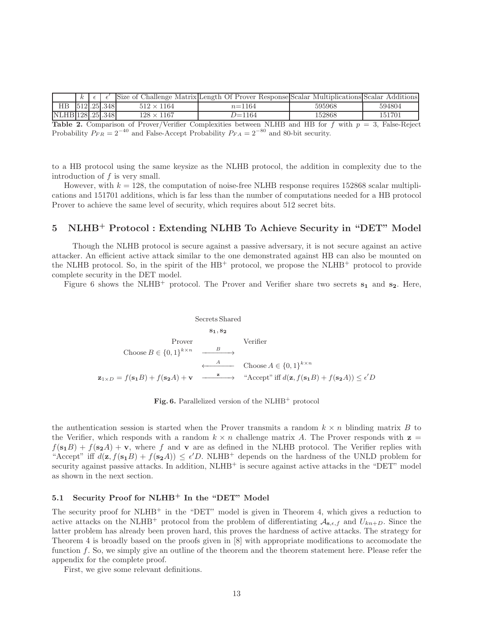|                   | $\kappa$ |            |                   | Size of Challenge Matrix Length Of Prover Response Scalar | MultiplicationsIScalar | Additions |
|-------------------|----------|------------|-------------------|-----------------------------------------------------------|------------------------|-----------|
| HВ                |          | 512.25.348 | $512 \times 1164$ | $n = 1164$                                                | 595968                 | 594804    |
| NLHB 128 .25 .348 |          |            | $128\times1167$   | ワ=1164                                                    | 152868                 | 151701    |

Table 2. Comparison of Prover/Verifier Complexities between NLHB and HB for  $f$  with  $p = 3$ , False-Reject Probability  $P_{FR} = 2^{-40}$  and False-Accept Probability  $P_{FA} = 2^{-80}$  and 80-bit security.

to a HB protocol using the same keysize as the NLHB protocol, the addition in complexity due to the introduction of  $f$  is very small.

However, with  $k = 128$ , the computation of noise-free NLHB response requires 152868 scalar multiplications and 151701 additions, which is far less than the number of computations needed for a HB protocol Prover to achieve the same level of security, which requires about 512 secret bits.

# 5 NLHB<sup>+</sup> Protocol : Extending NLHB To Achieve Security in "DET" Model

Though the NLHB protocol is secure against a passive adversary, it is not secure against an active attacker. An efficient active attack similar to the one demonstrated against HB can also be mounted on the NLHB protocol. So, in the spirit of the  $HB^+$  protocol, we propose the NLHB<sup>+</sup> protocol to provide complete security in the DET model.

Figure 6 shows the NLHB<sup>+</sup> protocol. The Prover and Verifier share two secrets  $s_1$  and  $s_2$ . Here,

$$
\begin{array}{ccc}\n & \text{Secrets Shared} \\
& \mathbf{s_1, s_2} \\
& \text{Prover} \\
& \text{Choose } B \in \{0, 1\}^{k \times n} & \xrightarrow{B} \\
& \xleftarrow{A} & \text{Choose } A \in \{0, 1\}^{k \times n} \\
& \xleftarrow{A} & \text{Choose } A \in \{0, 1\}^{k \times n} \\
& \mathbf{z_{1 \times D}} = f(\mathbf{s_1}B) + f(\mathbf{s_2}A) + \mathbf{v} & \xrightarrow{\mathbf{z}} & \text{``Accept'' iff } d(\mathbf{z}, f(\mathbf{s_1}B) + f(\mathbf{s_2}A)) \leq \epsilon'D\n\end{array}
$$

Fig. 6. Parallelized version of the  $NLHB^+$  protocol

the authentication session is started when the Prover transmits a random  $k \times n$  blinding matrix B to the Verifier, which responds with a random  $k \times n$  challenge matrix A. The Prover responds with  $z =$  $f(s_1B) + f(s_2A) + v$ , where f and v are as defined in the NLHB protocol. The Verifier replies with "Accept" iff  $d(\mathbf{z}, f(\mathbf{s_1}B) + f(\mathbf{s_2}A)) \leq \epsilon'D$ . NLHB<sup>+</sup> depends on the hardness of the UNLD problem for security against passive attacks. In addition,  $NLHB^+$  is secure against active attacks in the "DET" model as shown in the next section.

## 5.1 Security Proof for NLHB<sup>+</sup> In the "DET" Model

The security proof for NLHB<sup>+</sup> in the "DET" model is given in Theorem 4, which gives a reduction to active attacks on the NLHB<sup>+</sup> protocol from the problem of differentiating  $A_{s,\epsilon,f}$  and  $U_{kn+D}$ . Since the latter problem has already been proven hard, this proves the hardness of active attacks. The strategy for Theorem 4 is broadly based on the proofs given in [8] with appropriate modifications to accomodate the function f. So, we simply give an outline of the theorem and the theorem statement here. Please refer the appendix for the complete proof.

First, we give some relevant definitions.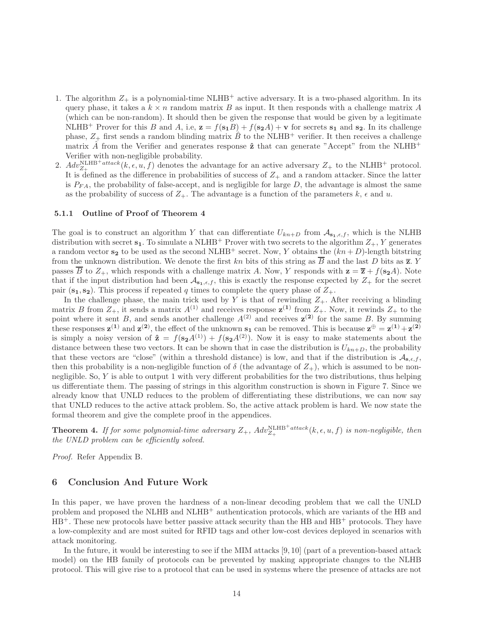- 1. The algorithm  $Z_+$  is a polynomial-time NLHB<sup>+</sup> active adversary. It is a two-phased algorithm. In its query phase, it takes a  $k \times n$  random matrix B as input. It then responds with a challenge matrix A (which can be non-random). It should then be given the response that would be given by a legitimate NLHB<sup>+</sup> Prover for this B and A, i.e,  $z = f(s_1B) + f(s_2A) + v$  for secrets  $s_1$  and  $s_2$ . In its challenge phase,  $Z_+$  first sends a random blinding matrix  $\hat{B}$  to the NLHB<sup>+</sup> verifier. It then receives a challenge matrix  $\hat{A}$  from the Verifier and generates response  $\hat{z}$  that can generate "Accept" from the NLHB<sup>+</sup> Verifier with non-negligible probability.
- 2.  $Adv_{Z_+}^{\text{NLHB}+attack}(k, \epsilon, u, f)$  denotes the advantage for an active adversary  $Z_+$  to the NLHB<sup>+</sup> protocol. It is defined as the difference in probabilities of success of  $Z_+$  and a random attacker. Since the latter is  $P_{FA}$ , the probability of false-accept, and is negligible for large  $D$ , the advantage is almost the same as the probability of success of  $Z_+$ . The advantage is a function of the parameters k,  $\epsilon$  and u.

#### 5.1.1 Outline of Proof of Theorem 4

The goal is to construct an algorithm Y that can differentiate  $U_{kn+D}$  from  $\mathcal{A}_{s_1,\epsilon,f}$ , which is the NLHB distribution with secret  $s_1$ . To simulate a NLHB<sup>+</sup> Prover with two secrets to the algorithm  $Z_+$ , Y generates a random vector  $s_2$  to be used as the second NLHB<sup>+</sup> secret. Now, Y obtains the  $(kn+D)$ -length bitstring from the unknown distribution. We denote the first kn bits of this string as  $\overline{B}$  and the last D bits as  $\overline{z}$ . Y passes  $\overline{B}$  to  $Z_+$ , which responds with a challenge matrix A. Now, Y responds with  $z = \overline{z} + f(s_2A)$ . Note that if the input distribution had been  $\mathcal{A}_{s_1,\epsilon,f}$ , this is exactly the response expected by  $Z_+$  for the secret pair  $(s_1, s_2)$ . This process if repeated q times to complete the query phase of  $Z_+$ .

In the challenge phase, the main trick used by Y is that of rewinding  $Z_{+}$ . After receiving a blinding matrix B from  $Z_+$ , it sends a matrix  $A^{(1)}$  and receives response  $\mathbf{z}^{(1)}$  from  $Z_+$ . Now, it rewinds  $Z_+$  to the point where it sent B, and sends another challenge  $A^{(2)}$  and receives  $z^{(2)}$  for the same B. By summing these responses  $\mathbf{z}^{(1)}$  and  $\mathbf{z}^{(2)}$ , the effect of the unknown  $\mathbf{s}_1$  can be removed. This is because  $\mathbf{z}^{\oplus} = \mathbf{z}^{(1)} + \mathbf{z}^{(2)}$ is simply a noisy version of  $\hat{\mathbf{z}} = f(\mathbf{s_2}A^{(1)}) + f(\mathbf{s_2}A^{(2)})$ . Now it is easy to make statements about the distance between these two vectors. It can be shown that in case the distribution is  $U_{kn+D}$ , the probability that these vectors are "close" (within a threshold distance) is low, and that if the distribution is  $A_{s,\epsilon,f}$ , then this probability is a non-negligible function of  $\delta$  (the advantage of  $Z_+$ ), which is assumed to be nonnegligible. So, Y is able to output 1 with very different probabilities for the two distributions, thus helping us differentiate them. The passing of strings in this algorithm construction is shown in Figure 7. Since we already know that UNLD reduces to the problem of differentiating these distributions, we can now say that UNLD reduces to the active attack problem. So, the active attack problem is hard. We now state the formal theorem and give the complete proof in the appendices.

**Theorem 4.** If for some polynomial-time adversary  $Z_+$ ,  $Adv_{Z_+}^{\text{NLHB}^+ attack}(k, \epsilon, u, f)$  is non-negligible, then the UNLD problem can be efficiently solved.

Proof. Refer Appendix B.

### 6 Conclusion And Future Work

In this paper, we have proven the hardness of a non-linear decoding problem that we call the UNLD problem and proposed the NLHB and NLHB<sup>+</sup> authentication protocols, which are variants of the HB and  $HB^+$ . These new protocols have better passive attack security than the HB and  $HB^+$  protocols. They have a low-complexity and are most suited for RFID tags and other low-cost devices deployed in scenarios with attack monitoring.

In the future, it would be interesting to see if the MIM attacks [9, 10] (part of a prevention-based attack model) on the HB family of protocols can be prevented by making appropriate changes to the NLHB protocol. This will give rise to a protocol that can be used in systems where the presence of attacks are not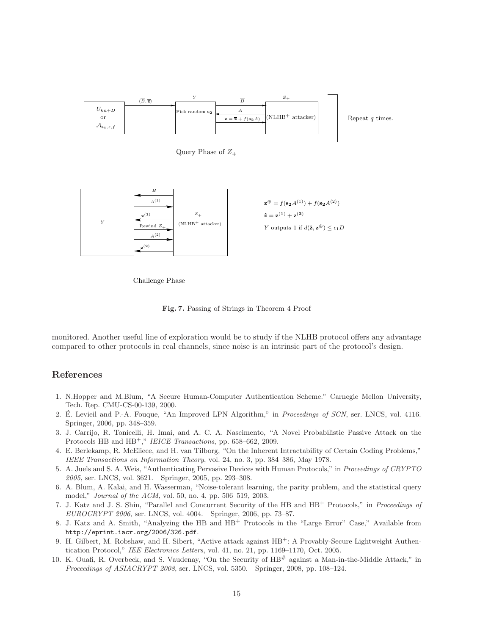

Query Phase of  $Z_+$ 



Challenge Phase

Fig. 7. Passing of Strings in Theorem 4 Proof

monitored. Another useful line of exploration would be to study if the NLHB protocol offers any advantage compared to other protocols in real channels, since noise is an intrinsic part of the protocol's design.

# References

- 1. N.Hopper and M.Blum, "A Secure Human-Computer Authentication Scheme." Carnegie Mellon University, Tech. Rep. CMU-CS-00-139, 2000.
- 2. E. Levieil and P.-A. Fouque, "An Improved LPN Algorithm," in *Proceedings of SCN*, ser. LNCS, vol. 4116. Springer, 2006, pp. 348–359.
- 3. J. Carrijo, R. Tonicelli, H. Imai, and A. C. A. Nascimento, "A Novel Probabilistic Passive Attack on the Protocols HB and HB<sup>+</sup>," IEICE Transactions, pp. 658–662, 2009.
- 4. E. Berlekamp, R. McEliece, and H. van Tilborg, "On the Inherent Intractability of Certain Coding Problems," IEEE Transactions on Information Theory, vol. 24, no. 3, pp. 384–386, May 1978.
- 5. A. Juels and S. A. Weis, "Authenticating Pervasive Devices with Human Protocols," in Proceedings of CRYPTO 2005, ser. LNCS, vol. 3621. Springer, 2005, pp. 293–308.
- 6. A. Blum, A. Kalai, and H. Wasserman, "Noise-tolerant learning, the parity problem, and the statistical query model," Journal of the ACM, vol. 50, no. 4, pp. 506–519, 2003.
- 7. J. Katz and J. S. Shin, "Parallel and Concurrent Security of the HB and HB<sup>+</sup> Protocols," in Proceedings of EUROCRYPT 2006, ser. LNCS, vol. 4004. Springer, 2006, pp. 73–87.
- 8. J. Katz and A. Smith, "Analyzing the HB and HB<sup>+</sup> Protocols in the "Large Error" Case," Available from http://eprint.iacr.org/2006/326.pdf.
- 9. H. Gilbert, M. Robshaw, and H. Sibert, "Active attack against HB<sup>+</sup>: A Provably-Secure Lightweight Authentication Protocol," IEE Electronics Letters, vol. 41, no. 21, pp. 1169-1170, Oct. 2005.
- 10. K. Ouafi, R. Overbeck, and S. Vaudenay, "On the Security of HB# against a Man-in-the-Middle Attack," in Proceedings of ASIACRYPT 2008, ser. LNCS, vol. 5350. Springer, 2008, pp. 108-124.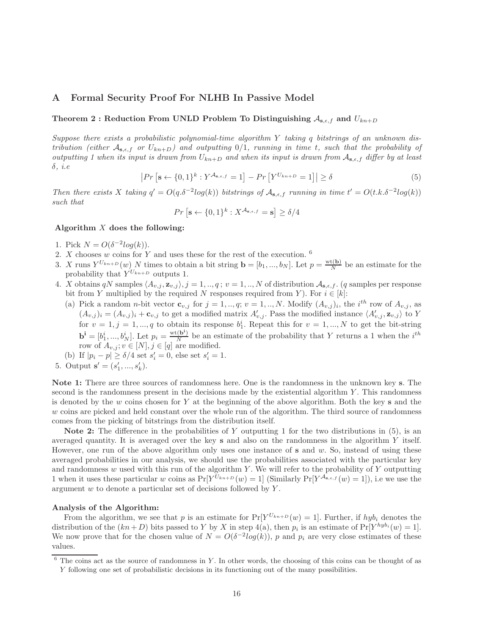# A Formal Security Proof For NLHB In Passive Model

# Theorem 2 : Reduction From UNLD Problem To Distinguishing  $A_{s,\epsilon,f}$  and  $U_{kn+D}$

Suppose there exists a probabilistic polynomial-time algorithm Y taking q bitstrings of an unknown distribution (either  $A_{s,\epsilon,f}$  or  $U_{kn+D}$ ) and outputting 0/1, running in time t, such that the probability of outputting 1 when its input is drawn from  $U_{kn+D}$  and when its input is drawn from  $A_{s,\epsilon,f}$  differ by at least  $\delta$ , *i.e* 

$$
\left| Pr\left[\mathbf{s} \leftarrow \{0,1\}^k : Y^{\mathcal{A}_{\mathbf{s},\epsilon,f}} = 1 \right] - Pr\left[ Y^{U_{kn+D}} = 1 \right] \right| \ge \delta \tag{5}
$$

Then there exists X taking  $q' = O(q.\delta^{-2}log(k))$  bitstrings of  $\mathcal{A}_{s,\epsilon,f}$  running in time  $t' = O(t.k.\delta^{-2}log(k))$ such that

$$
Pr\left[\mathbf{s} \leftarrow \{0, 1\}^{k} : X^{\mathcal{A}_{\mathbf{s}, \epsilon, f}} = \mathbf{s}\right] \ge \delta/4
$$

### Algorithm  $X$  does the following:

- 1. Pick  $N = O(\delta^{-2} \log(k)).$
- 2. X chooses w coins for Y and uses these for the rest of the execution.  $6$
- 3. X runs  $Y^{U_{kn+D}}(w)$  N times to obtain a bit string  $\mathbf{b} = [b_1, ..., b_N]$ . Let  $p = \frac{\text{wt}(\mathbf{b})}{N}$  $\frac{f(D)}{N}$  be an estimate for the probability that  $Y^{U_{kn+D}}$  outputs 1.
- 4. X obtains qN samples  $\langle A_{v,j}, \mathbf{z}_{v,j} \rangle$ ,  $j = 1, ..., q$ ;  $v = 1, ..., N$  of distribution  $\mathcal{A}_{s,\epsilon,f}$ . (q samples per response bit from Y multiplied by the required N responses required from Y). For  $i \in [k]$ :
	- (a) Pick a random *n*-bit vector  $\mathbf{c}_{v,j}$  for  $j = 1,..,q; v = 1,..,N$ . Modify  $(A_{v,j})_i$ , the  $i^{th}$  row of  $A_{v,j}$ , as  $(A_{v,j})_i = (A_{v,j})_i + \mathbf{c}_{v,j}$  to get a modified matrix  $A'_{v,j}$ . Pass the modified instance  $\langle A'_{v,j}, \mathbf{z}_{v,j} \rangle$  to Y for  $v = 1, j = 1, ..., q$  to obtain its response  $b_1^i$ . Repeat this for  $v = 1, ..., N$  to get the bit-string 1  $\mathbf{b}^{\mathbf{i}} = [b_1^i, ..., b_N^i]$ . Let  $p_i = \frac{\text{wt}(\mathbf{b}^i)}{N}$  $\frac{N}{N}$  be an estimate of the probability that Y returns a 1 when the  $i^{th}$ row of  $A_{v,j}; v \in [N], j \in [q]$  are modified.
- (b) If  $|p_i p| \ge \delta/4$  set  $s'_i = 0$ , else set  $s'_i = 1$ .
- 5. Output  $\mathbf{s}' = (s'_1, ..., s'_k)$ .

Note 1: There are three sources of randomness here. One is the randomness in the unknown key s. The second is the randomness present in the decisions made by the existential algorithm  $Y$ . This randomness is denoted by the w coins chosen for Y at the beginning of the above algorithm. Both the key s and the w coins are picked and held constant over the whole run of the algorithm. The third source of randomness comes from the picking of bitstrings from the distribution itself.

Note 2: The difference in the probabilities of Y outputting 1 for the two distributions in  $(5)$ , is an averaged quantity. It is averaged over the key s and also on the randomness in the algorithm Y itself. However, one run of the above algorithm only uses one instance of  $s$  and  $w$ . So, instead of using these averaged probabilities in our analysis, we should use the probabilities associated with the particular key and randomness w used with this run of the algorithm Y. We will refer to the probability of Y outputting 1 when it uses these particular w coins as  $Pr[Y^{U_{kn+D}}(w) = 1]$  (Similarly  $Pr[Y^{\mathcal{A}_{s,\epsilon,f}}(w) = 1]$ ), i.e we use the argument  $w$  to denote a particular set of decisions followed by  $Y$ .

## Analysis of the Algorithm:

From the algorithm, we see that p is an estimate for  $Pr[Y^{U_{kn+D}}(w) = 1]$ . Further, if  $hyb_i$  denotes the distribution of the  $(kn+D)$  bits passed to Y by X in step 4(a), then  $p_i$  is an estimate of  $Pr[Y^{hyb_i}(w) = 1]$ . We now prove that for the chosen value of  $N = O(\delta^{-2} \log(k))$ , p and  $p_i$  are very close estimates of these values.

 $6$  The coins act as the source of randomness in Y. In other words, the choosing of this coins can be thought of as Y following one set of probabilistic decisions in its functioning out of the many possibilities.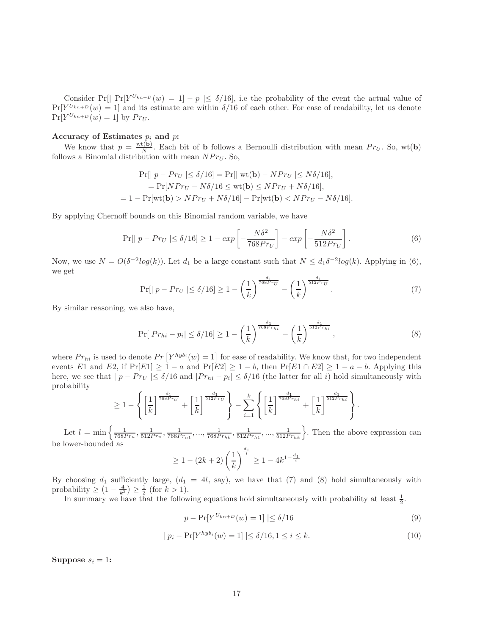Consider Pr[| Pr[ $Y^{U_{kn+D}}(w) = 1$ ] –  $p \le \delta/16$ ], i.e the probability of the event the actual value of  $Pr[Y^{U_{kn+D}}(w) = 1]$  and its estimate are within  $\delta/16$  of each other. For ease of readability, let us denote  $Pr[Y^{U_{kn+D}}(w) = 1]$  by  $Pr_U$ .

## Accuracy of Estimates  $p_i$  and  $p$ :

We know that  $p = \frac{\text{wt}(\mathbf{b})}{N}$  $\frac{R(\mathbf{b})}{N}$ . Each bit of **b** follows a Bernoulli distribution with mean  $Pr_U$ . So, wt(**b**) follows a Binomial distribution with mean  $N Pr_U$ . So,

$$
\Pr[|p - Pr_U| \le \delta/16] = \Pr[|\text{ wt}(\mathbf{b}) - NP_{U}| \le N\delta/16],
$$
  
= 
$$
\Pr[NP_{U} - N\delta/16 \le \text{wt}(\mathbf{b}) \le NP_{U} + N\delta/16],
$$
  
= 
$$
1 - \Pr[\text{wt}(\mathbf{b}) > NP_{U} + N\delta/16] - \Pr[\text{wt}(\mathbf{b}) < NP_{U} - N\delta/16].
$$

By applying Chernoff bounds on this Binomial random variable, we have

$$
\Pr[|p - Pr_U| \le \delta/16] \ge 1 - exp\left[-\frac{N\delta^2}{768Pr_U}\right] - exp\left[-\frac{N\delta^2}{512Pr_U}\right].\tag{6}
$$

Now, we use  $N = O(\delta^{-2} \log(k))$ . Let  $d_1$  be a large constant such that  $N \leq d_1 \delta^{-2} \log(k)$ . Applying in (6), we get

$$
\Pr[|p - Pr_U| \le \delta/16] \ge 1 - \left(\frac{1}{k}\right)^{\frac{d_1}{768Pr_U}} - \left(\frac{1}{k}\right)^{\frac{d_1}{512Pr_U}}.\tag{7}
$$

By similar reasoning, we also have,

$$
\Pr[|Pr_{hi} - p_i| \le \delta/16] \ge 1 - \left(\frac{1}{k}\right)^{\frac{d_1}{768Pr_{hi}}} - \left(\frac{1}{k}\right)^{\frac{d_1}{512Pr_{hi}}},\tag{8}
$$

where  $Pr_{hi}$  is used to denote  $Pr\left[Y^{hyb_i}(w) = 1\right]$  for ease of readability. We know that, for two independent events E1 and E2, if  $Pr[E1] \geq 1 - a$  and  $Pr[E2] \geq 1 - b$ , then  $Pr[E1 \cap E2] \geq 1 - a - b$ . Applying this here, we see that  $|p - Pr_U| \leq \delta/16$  and  $|Pr_{hi} - p_i| \leq \delta/16$  (the latter for all i) hold simultaneously with probability

$$
\geq 1 - \left\{ \left[ \frac{1}{k} \right]^{\frac{d_1}{768Pr_U}} + \left[ \frac{1}{k} \right]^{\frac{d_1}{512Pr_U}} \right\} - \sum_{i=1}^k \left\{ \left[ \frac{1}{k} \right]^{\frac{d_1}{768Pr_{hi}}} + \left[ \frac{1}{k} \right]^{\frac{d_1}{512Pr_{hi}}} \right\}.
$$

Let  $l = \min \left\{ \frac{1}{768Pr_u}, \frac{1}{512Pr_u}, \frac{1}{768Pr_{h1}}, \dots, \frac{1}{768Pr_{hk}}, \frac{1}{512Pr_{h1}}, \dots, \frac{1}{512Pr_{hk}} \right\}$ . Then the above expression can be lower-bounded as

$$
\geq 1 - (2k+2) \left(\frac{1}{k}\right)^{\frac{d_1}{l}} \geq 1 - 4k^{1 - \frac{d_1}{l}}
$$

By choosing  $d_1$  sufficiently large,  $(d_1 = 4l, say)$ , we have that (7) and (8) hold simultaneously with probability  $\geq (1 - \frac{4}{k^3}) \geq \frac{1}{2}$  (for  $k > 1$ ).

In summary we have that the following equations hold simultaneously with probability at least  $\frac{1}{2}$ .

$$
|p - \Pr[Y^{U_{kn+D}}(w) = 1] | \le \delta/16
$$
\n
$$
(9)
$$

$$
| p_i - \Pr[Y^{hyb_i}(w) = 1] | \le \delta/16, 1 \le i \le k.
$$
 (10)

Suppose  $s_i = 1$ :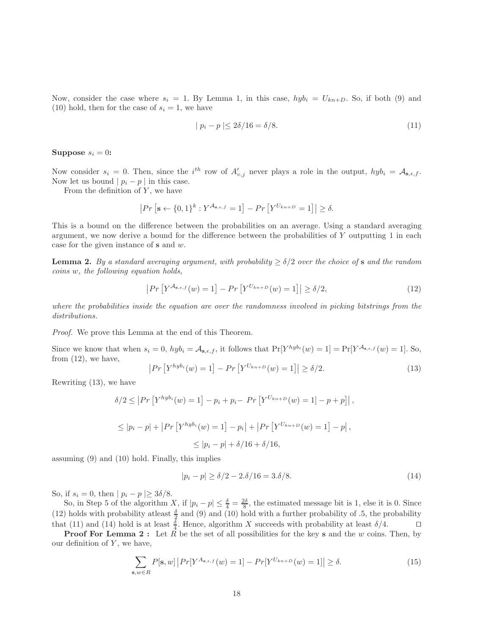Now, consider the case where  $s_i = 1$ . By Lemma 1, in this case,  $hyb_i = U_{kn+D}$ . So, if both (9) and (10) hold, then for the case of  $s_i = 1$ , we have

$$
|p_i - p| \le 2\delta/16 = \delta/8. \tag{11}
$$

Suppose  $s_i = 0$ :

Now consider  $s_i = 0$ . Then, since the i<sup>th</sup> row of  $A'_{v,j}$  never plays a role in the output,  $hyb_i = A_{s,\epsilon,f}$ . Now let us bound  $| p_i - p |$  in this case.

From the definition of  $Y$ , we have

$$
\left|Pr\left[\mathbf{s} \leftarrow \{0,1\}^k : Y^{\mathcal{A}_{\mathbf{s},\epsilon,f}} = 1\right] - Pr\left[Y^{U_{kn+D}} = 1\right]\right| \ge \delta.
$$

This is a bound on the difference between the probabilities on an average. Using a standard averaging argument, we now derive a bound for the difference between the probabilities of Y outputting 1 in each case for the given instance of s and w.

**Lemma 2.** By a standard averaging argument, with probability  $\geq \delta/2$  over the choice of s and the random coins w, the following equation holds,

$$
\left| Pr\left[ Y^{\mathcal{A}_{\mathbf{s},\epsilon,f}}(w) = 1 \right] - Pr\left[ Y^{U_{kn+D}}(w) = 1 \right] \right| \ge \delta/2, \tag{12}
$$

where the probabilities inside the equation are over the randomness involved in picking bitstrings from the distributions.

Proof. We prove this Lemma at the end of this Theorem.

Since we know that when  $s_i = 0$ ,  $hyb_i = A_{\mathbf{s},\epsilon,f}$ , it follows that  $Pr[Y^{hyb_i}(w) = 1] = Pr[Y^{A_{\mathbf{s},\epsilon,f}}(w) = 1]$ . So, from  $(12)$ , we have,

$$
|Pr[Y^{hyb_i}(w) = 1] - Pr[Y^{U_{kn+D}}(w) = 1]| \ge \delta/2.
$$
 (13)

Rewriting (13), we have

$$
\delta/2 \le |Pr\left[Y^{hyb_i}(w) = 1\right] - p_i + p_i - Pr\left[Y^{U_{kn}+D}(w) = 1\right] - p + p\right],
$$
  

$$
\le |p_i - p| + |Pr\left[Y^{hyb_i}(w) = 1\right] - p_i| + |Pr\left[Y^{U_{kn}+D}(w) = 1\right] - p|,
$$
  

$$
\le |p_i - p| + \delta/16 + \delta/16,
$$

assuming (9) and (10) hold. Finally, this implies

$$
|p_i - p| \ge \delta/2 - 2.\delta/16 = 3.\delta/8. \tag{14}
$$

So, if  $s_i = 0$ , then  $| p_i - p | \geq 3\delta/8$ .

So, in Step 5 of the algorithm X, if  $|p_i - p| \leq \frac{\delta}{4} = \frac{2\delta}{8}$ , the estimated message bit is 1, else it is 0. Since (12) holds with probability at least  $\frac{\delta}{2}$  and (9) and (10) hold with a further probability of .5, the probability that (11) and (14) hold is at least  $\frac{\delta}{4}$ . Hence, algorithm X succeeds with probability at least  $\delta/4$ . □

**Proof For Lemma 2:** Let  $\hat{R}$  be the set of all possibilities for the key s and the w coins. Then, by our definition of  $Y$ , we have,

$$
\sum_{\mathbf{s},w \in R} P[\mathbf{s},w] | Pr[Y^{A_{\mathbf{s},\epsilon,f}}(w) = 1] - Pr[Y^{U_{kn+D}}(w) = 1]| \ge \delta.
$$
 (15)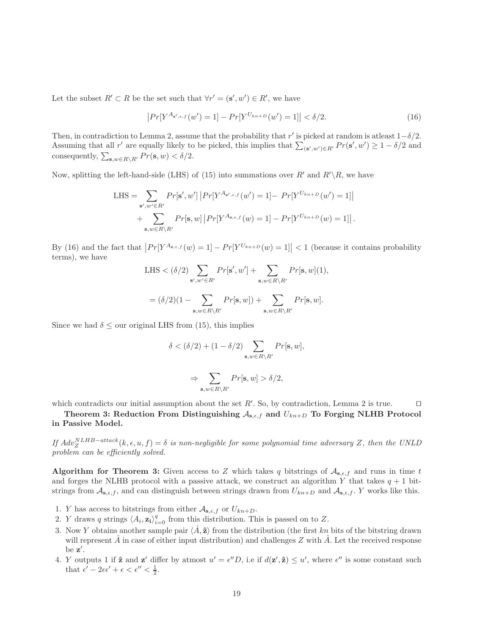Let the subset  $R' \subset R$  be the set such that  $\forall r' = (\mathbf{s}', w') \in R'$ , we have

$$
\left| Pr[Y^{A_{\mathbf{s}',\epsilon,f}}(w') = 1] - Pr[Y^{U_{kn+D}}(w') = 1] \right| < \delta/2. \tag{16}
$$

Then, in contradiction to Lemma 2, assume that the probability that r' is picked at random is at least  $1-\delta/2$ . Assuming that all r' are equally likely to be picked, this implies that  $\sum_{(\mathbf{s}',w')\in R'} Pr(\mathbf{s}', w') \ge 1 - \delta/2$  and consequently,  $\sum_{\mathbf{s}, w \in R \setminus R'} Pr(\mathbf{s}, w) < \delta/2$ .

Now, splitting the left-hand-side (LHS) of (15) into summations over R' and  $R'\R$ , we have

LHS = 
$$
\sum_{\mathbf{s}', w' \in R'} Pr[\mathbf{s}', w'] | Pr[Y^{A_{\mathbf{s}',\epsilon,f}}(w') = 1] - Pr[Y^{U_{kn+D}}(w') = 1]|
$$
  
+ 
$$
\sum_{\mathbf{s}, w \in R \backslash R'} Pr[\mathbf{s}, w] | Pr[Y^{A_{\mathbf{s},\epsilon,f}}(w) = 1] - Pr[Y^{U_{kn+D}}(w) = 1]|.
$$

By (16) and the fact that  $|Pr[Y^{A_{\mathbf{s},\epsilon,f}}(w) = 1] - Pr[Y^{U_{kn}+p}(w) = 1]| < 1$  (because it contains probability terms), we have

LHS 
$$
\langle \delta/2 \rangle
$$
  
\n
$$
\sum_{\mathbf{s}', w' \in R'} Pr[\mathbf{s}', w'] + \sum_{\mathbf{s}, w \in R \setminus R'} Pr[\mathbf{s}, w](1),
$$
\n
$$
= (\delta/2)(1 - \sum_{\mathbf{s}, w \in R \setminus R'} Pr[\mathbf{s}, w]) + \sum_{\mathbf{s}, w \in R \setminus R'} Pr[\mathbf{s}, w].
$$

Since we had  $\delta \leq$  our original LHS from (15), this implies

$$
\delta < (\delta/2) + (1 - \delta/2) \sum_{\mathbf{s}, w \in R \setminus R'} Pr[\mathbf{s}, w],
$$
\n
$$
\Rightarrow \sum_{\mathbf{s}, w \in R \setminus R'} Pr[\mathbf{s}, w] > \delta/2,
$$

which contradicts our initial assumption about the set R'. So, by contradiction, Lemma 2 is true.  $\Box$ 

Theorem 3: Reduction From Distinguishing  $A_{s,\epsilon,f}$  and  $U_{kn+D}$  To Forging NLHB Protocol in Passive Model.

If  $Adv^{NLHB-attack}_{Z}(k, \epsilon, u, f) = \delta$  is non-negligible for some polynomial time adversary Z, then the UNLD problem can be efficiently solved.

Algorithm for Theorem 3: Given access to Z which takes q bitstrings of  $\mathcal{A}_{s,\epsilon,f}$  and runs in time t and forges the NLHB protocol with a passive attack, we construct an algorithm Y that takes  $q + 1$  bitstrings from  $\mathcal{A}_{s,\epsilon,f}$ , and can distinguish between strings drawn from  $U_{kn+D}$  and  $\mathcal{A}_{s,\epsilon,f}$ . Y works like this.

- 1. *Y* has access to bitstrings from either  $A_{s,\epsilon,f}$  or  $U_{kn+D}$ .
- 2. *Y* draws *q* strings  $\langle A_i, \mathbf{z}_i \rangle_{i=0}^q$  from this distribution. This is passed on to *Z*.
- 3. Now Y obtains another sample pair  $\langle \hat{A}, \hat{\mathbf{z}} \rangle$  from the distribution (the first kn bits of the bitstring drawn will represent  $A$  in case of either input distribution) and challenges  $Z$  with  $A$ . Let the received response be z ′ .
- 4. Y outputs 1 if  $\hat{\mathbf{z}}$  and  $\mathbf{z}'$  differ by atmost  $u' = \epsilon''D$ , i.e if  $d(\mathbf{z}', \hat{\mathbf{z}}) \leq u'$ , where  $\epsilon''$  is some constant such that  $\epsilon' - 2\epsilon \epsilon' + \epsilon < \epsilon'' < \frac{1}{2}$ .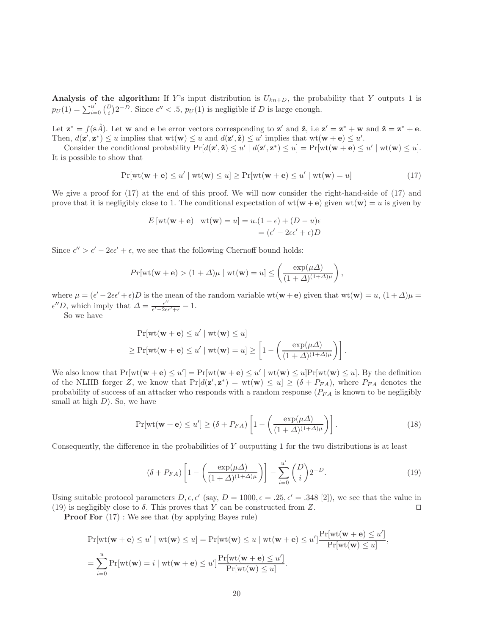Analysis of the algorithm: If Y's input distribution is  $U_{kn+D}$ , the probability that Y outputs 1 is  $p_U(1) = \sum_{i=0}^{u'} {D \choose i} 2^{-D}$ . Since  $\epsilon'' < 0.5$ ,  $p_U(1)$  is negligible if D is large enough.

Let  $\mathbf{z}^* = f(\mathbf{s}\hat{A})$ . Let w and  $\mathbf{e}$  be error vectors corresponding to  $\mathbf{z}'$  and  $\hat{\mathbf{z}}$ , i.e  $\mathbf{z}' = \mathbf{z}^* + \mathbf{w}$  and  $\hat{\mathbf{z}} = \mathbf{z}^* + \mathbf{e}$ . Then,  $d(\mathbf{z}', \mathbf{z}^*) \le u$  implies that  $wt(\mathbf{w}) \le u$  and  $d(\mathbf{z}', \hat{\mathbf{z}}) \le u'$  implies that  $wt(\mathbf{w} + \mathbf{e}) \le u'$ .

Consider the conditional probability  $Pr[d(\mathbf{z}', \hat{\mathbf{z}}) \leq u' \mid d(\mathbf{z}', \mathbf{z}^*) \leq u] = Pr[\text{wt}(\mathbf{w} + \mathbf{e}) \leq u' \mid \text{wt}(\mathbf{w}) \leq u]$ . It is possible to show that

$$
\Pr[\text{wt}(\mathbf{w} + \mathbf{e}) \le u' \mid \text{wt}(\mathbf{w}) \le u] \ge \Pr[\text{wt}(\mathbf{w} + \mathbf{e}) \le u' \mid \text{wt}(\mathbf{w}) = u]
$$
(17)

We give a proof for (17) at the end of this proof. We will now consider the right-hand-side of (17) and prove that it is negligibly close to 1. The conditional expectation of  $wt(\mathbf{w}+\mathbf{e})$  given  $wt(\mathbf{w})=u$  is given by

$$
E\left[\text{wt}(\mathbf{w} + \mathbf{e}) \mid \text{wt}(\mathbf{w}) = u\right] = u.(1 - \epsilon) + (D - u)\epsilon
$$

$$
= (\epsilon' - 2\epsilon \epsilon' + \epsilon)D
$$

Since  $\epsilon'' > \epsilon' - 2\epsilon \epsilon' + \epsilon$ , we see that the following Chernoff bound holds:

$$
Pr[\mathrm{wt}(\mathbf{w}+\mathbf{e}) > (1+\Delta)\mu \mid \mathrm{wt}(\mathbf{w}) = u] \le \left(\frac{\exp(\mu\Delta)}{(1+\Delta)^{(1+\Delta)\mu}}\right),
$$

where  $\mu = (\epsilon' - 2\epsilon \epsilon' + \epsilon)D$  is the mean of the random variable wt( $\mathbf{w} + \mathbf{e}$ ) given that wt( $\mathbf{w} = u$ ,  $(1 + \Delta)\mu =$  $\epsilon'' D$ , which imply that  $\Delta = \frac{\epsilon''}{\epsilon' - 2\epsilon'}$  $\frac{\epsilon^{\prime\prime}}{\epsilon^{\prime}-2\epsilon\epsilon^{\prime}+\epsilon}-1.$ 

So we have

$$
\Pr[\text{wt}(\mathbf{w} + \mathbf{e}) \le u' \mid \text{wt}(\mathbf{w}) \le u]
$$
  
\n
$$
\ge \Pr[\text{wt}(\mathbf{w} + \mathbf{e}) \le u' \mid \text{wt}(\mathbf{w}) = u] \ge \left[1 - \left(\frac{\exp(\mu \Delta)}{(1 + \Delta)^{(1 + \Delta)\mu}}\right)\right].
$$

We also know that  $Pr[w(\mathbf{w} + \mathbf{e}) \leq u'] = Pr[w(\mathbf{w} + \mathbf{e}) \leq u' | wt(\mathbf{w}) \leq u] Pr[w(\mathbf{w}) \leq u]$ . By the definition of the NLHB forger Z, we know that  $Pr[d(\mathbf{z}', \mathbf{z}^*) = \text{wt}(\mathbf{w}) \le u] \ge (\delta + P_{FA})$ , where  $P_{FA}$  denotes the probability of success of an attacker who responds with a random response  $(P_{FA}$  is known to be negligibly small at high  $D$ ). So, we have

$$
\Pr[\text{wt}(\mathbf{w} + \mathbf{e}) \le u'] \ge (\delta + P_{FA}) \left[ 1 - \left( \frac{\exp(\mu \Delta)}{(1 + \Delta)^{(1 + \Delta)\mu}} \right) \right]. \tag{18}
$$

Consequently, the difference in the probabilities of Y outputting 1 for the two distributions is at least

$$
(\delta + P_{FA})\left[1 - \left(\frac{\exp(\mu \Delta)}{(1+\Delta)^{(1+\Delta)\mu}}\right)\right] - \sum_{i=0}^{u'} \binom{D}{i} 2^{-D}.\tag{19}
$$

Using suitable protocol parameters  $D, \epsilon, \epsilon'$  (say,  $D = 1000, \epsilon = .25, \epsilon' = .348$  [2]), we see that the value in (19) is negligibly close to  $\delta$ . This proves that Y can be constructed from Z. □

**Proof For**  $(17)$ : We see that (by applying Bayes rule)

$$
\Pr[\text{wt}(\mathbf{w} + \mathbf{e}) \le u' \mid \text{wt}(\mathbf{w}) \le u] = \Pr[\text{wt}(\mathbf{w}) \le u \mid \text{wt}(\mathbf{w} + \mathbf{e}) \le u'] \frac{\Pr[\text{wt}(\mathbf{w} + \mathbf{e}) \le u']}{\Pr[\text{wt}(\mathbf{w}) \le u]},
$$

$$
= \sum_{i=0}^{u} \Pr[\text{wt}(\mathbf{w}) = i \mid \text{wt}(\mathbf{w} + \mathbf{e}) \le u'] \frac{\Pr[\text{wt}(\mathbf{w} + \mathbf{e}) \le u']}{\Pr[\text{wt}(\mathbf{w}) \le u]}.
$$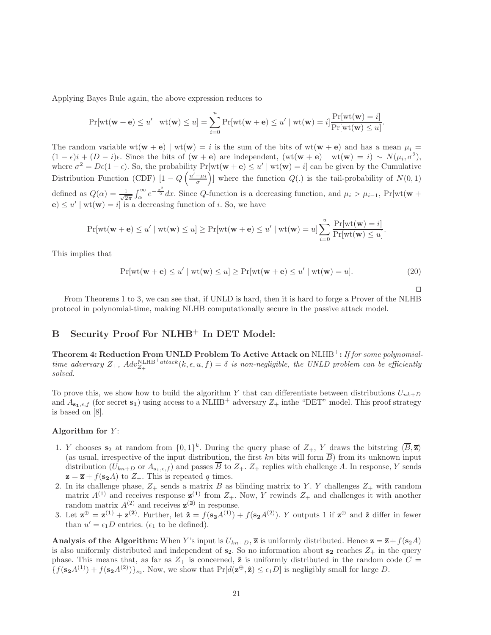Applying Bayes Rule again, the above expression reduces to

$$
\Pr[\text{wt}(\mathbf{w} + \mathbf{e}) \le u' \mid \text{wt}(\mathbf{w}) \le u] = \sum_{i=0}^{u} \Pr[\text{wt}(\mathbf{w} + \mathbf{e}) \le u' \mid \text{wt}(\mathbf{w}) = i] \frac{\Pr[\text{wt}(\mathbf{w}) = i]}{\Pr[\text{wt}(\mathbf{w}) \le u]}
$$

The random variable wt( $w + e$ ) | wt( $w$ ) = i is the sum of the bits of wt( $w + e$ ) and has a mean  $\mu_i$  =  $(1 - \epsilon)i + (D - i)\epsilon$ . Since the bits of  $(\mathbf{w} + \mathbf{e})$  are independent,  $(\text{wt}(\mathbf{w} + \mathbf{e}) | \text{wt}(\mathbf{w}) = i) \sim N(\mu_i, \sigma^2)$ , where  $\sigma^2 = D\epsilon(1-\epsilon)$ . So, the probability  $Pr[\text{wt}(\mathbf{w}+\mathbf{e}) \leq u' \mid \text{wt}(\mathbf{w}) = i]$  can be given by the Cumulative Distribution Function (CDF)  $[1 - Q\left(\frac{u'-\mu_i}{\sigma}\right)]$  where the function  $Q(.)$  is the tail-probability of  $N(0,1)$ defined as  $Q(\alpha) = \frac{1}{\sqrt{2}}$  $\frac{1}{2\pi} \int_{\alpha}^{\infty} e^{-\frac{x^2}{2}} dx$ . Since Q-function is a decreasing function, and  $\mu_i > \mu_{i-1}$ , Pr[wt(w +  $\mathbf{e}) \leq u' \mid \text{wt}(\mathbf{w}) = i$  is a decreasing function of *i*. So, we have

$$
\Pr[\mathrm{wt}(\mathbf{w}+\mathbf{e}) \leq u' \mid \mathrm{wt}(\mathbf{w}) \leq u] \geq \Pr[\mathrm{wt}(\mathbf{w}+\mathbf{e}) \leq u' \mid \mathrm{wt}(\mathbf{w}) = u] \sum_{i=0}^{u} \frac{\Pr[\mathrm{wt}(\mathbf{w}) = i]}{\Pr[\mathrm{wt}(\mathbf{w}) \leq u]}.
$$

This implies that

$$
\Pr[\text{wt}(\mathbf{w} + \mathbf{e}) \le u' \mid \text{wt}(\mathbf{w}) \le u] \ge \Pr[\text{wt}(\mathbf{w} + \mathbf{e}) \le u' \mid \text{wt}(\mathbf{w}) = u]. \tag{20}
$$

⊓⊔

.

From Theorems 1 to 3, we can see that, if UNLD is hard, then it is hard to forge a Prover of the NLHB protocol in polynomial-time, making NLHB computationally secure in the passive attack model.

# B Security Proof For NLHB<sup>+</sup> In DET Model:

Theorem 4: Reduction From UNLD Problem To Active Attack on  $\text{NLHB}^+$ : If for some polynomialtime adversary  $Z_+$ ,  $Adv_{Z_+}^{\text{NLHB}+attack}(k, \epsilon, u, f) = \delta$  is non-negligible, the UNLD problem can be efficiently solved.

To prove this, we show how to build the algorithm Y that can differentiate between distributions  $U_{nk+D}$ and  $A_{s_1,\epsilon,f}$  (for secret  $s_1$ ) using access to a NLHB<sup>+</sup> adversary  $Z_+$  inthe "DET" model. This proof strategy is based on [8].

### Algorithm for  $Y$ :

- 1. Y chooses  $s_2$  at random from  $\{0,1\}^k$ . During the query phase of  $Z_+$ , Y draws the bitstring  $\langle \overline{B}, \overline{z} \rangle$ (as usual, irrespective of the input distribution, the first kn bits will form  $\overline{B}$ ) from its unknown input distribution  $(U_{kn+D}$  or  $A_{\mathbf{s}_1,\epsilon,f}$  and passes  $\overline{B}$  to  $Z_+$ .  $Z_+$  replies with challenge A. In response, Y sends  $z = \overline{z} + f(s_2 A)$  to  $Z_+$ . This is repeated q times.
- 2. In its challenge phase,  $Z_+$  sends a matrix B as blinding matrix to Y. Y challenges  $Z_+$  with random matrix  $A^{(1)}$  and receives response  $\mathbf{z}^{(1)}$  from  $Z_+$ . Now, Y rewinds  $Z_+$  and challenges it with another random matrix  $A^{(2)}$  and receives  $z^{(2)}$  in response.
- 3. Let  $\mathbf{z}^{\oplus} = \mathbf{z}^{(1)} + \mathbf{z}^{(2)}$ . Further, let  $\hat{\mathbf{z}} = f(\mathbf{s_2}A^{(1)}) + f(\mathbf{s_2}A^{(2)})$ . Y outputs 1 if  $\mathbf{z}^{\oplus}$  and  $\hat{\mathbf{z}}$  differ in fewer than  $u' = \epsilon_1 D$  entries. ( $\epsilon_1$  to be defined).

**Analysis of the Algorithm:** When Y's input is  $U_{kn+D}$ ,  $\overline{z}$  is uniformly distributed. Hence  $z = \overline{z} + f(s_2A)$ is also uniformly distributed and independent of  $s_2$ . So no information about  $s_2$  reaches  $Z_+$  in the query phase. This means that, as far as  $Z_+$  is concerned,  $\hat{z}$  is uniformly distributed in the random code  $C =$  $\{f(\mathbf{s_2}A^{(1)})+f(\mathbf{s_2}A^{(2)})\}_{s_2}$ . Now, we show that  $\Pr[d(\mathbf{z}^{\oplus},\hat{\mathbf{z}})\leq \epsilon_1 D]$  is negligibly small for large D.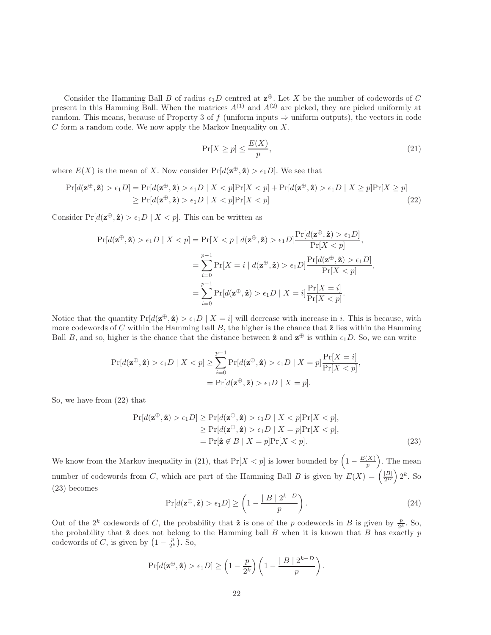Consider the Hamming Ball B of radius  $\epsilon_1 D$  centred at  $\mathbf{z}^{\oplus}$ . Let X be the number of codewords of C present in this Hamming Ball. When the matrices  $A^{(1)}$  and  $A^{(2)}$  are picked, they are picked uniformly at random. This means, because of Property 3 of f (uniform inputs  $\Rightarrow$  uniform outputs), the vectors in code  $C$  form a random code. We now apply the Markov Inequality on  $X$ .

$$
\Pr[X \ge p] \le \frac{E(X)}{p},\tag{21}
$$

where  $E(X)$  is the mean of X. Now consider  $Pr[d(\mathbf{z}^{\oplus}, \hat{\mathbf{z}}) > \epsilon_1 D]$ . We see that

$$
\Pr[d(\mathbf{z}^{\oplus}, \hat{\mathbf{z}}) > \epsilon_1 D] = \Pr[d(\mathbf{z}^{\oplus}, \hat{\mathbf{z}}) > \epsilon_1 D \mid X < p] \Pr[X < p] + \Pr[d(\mathbf{z}^{\oplus}, \hat{\mathbf{z}}) > \epsilon_1 D \mid X \geq p] \Pr[X \geq p] \\ \geq \Pr[d(\mathbf{z}^{\oplus}, \hat{\mathbf{z}}) > \epsilon_1 D \mid X < p] \Pr[X < p] \tag{22}
$$

Consider  $Pr[d(\mathbf{z}^{\oplus}, \hat{\mathbf{z}}) > \epsilon_1 D \mid X < p]$ . This can be written as

$$
\Pr[d(\mathbf{z}^{\oplus}, \hat{\mathbf{z}}) > \epsilon_1 D \mid X < p] = \Pr[X < p \mid d(\mathbf{z}^{\oplus}, \hat{\mathbf{z}}) > \epsilon_1 D] \frac{\Pr[d(\mathbf{z}^{\oplus}, \hat{\mathbf{z}}) > \epsilon_1 D]}{\Pr[X < p]},
$$
\n
$$
= \sum_{i=0}^{p-1} \Pr[X = i \mid d(\mathbf{z}^{\oplus}, \hat{\mathbf{z}}) > \epsilon_1 D] \frac{\Pr[d(\mathbf{z}^{\oplus}, \hat{\mathbf{z}}) > \epsilon_1 D]}{\Pr[X < p]},
$$
\n
$$
= \sum_{i=0}^{p-1} \Pr[d(\mathbf{z}^{\oplus}, \hat{\mathbf{z}}) > \epsilon_1 D \mid X = i] \frac{\Pr[X = i]}{\Pr[X < p]}.
$$

Notice that the quantity  $Pr[d(\mathbf{z}^{\oplus}, \hat{\mathbf{z}}) > \epsilon_1 D \mid X = i]$  will decrease with increase in *i*. This is because, with more codewords of C within the Hamming ball  $B$ , the higher is the chance that  $\hat{z}$  lies within the Hamming Ball B, and so, higher is the chance that the distance between  $\hat{z}$  and  $z^{\oplus}$  is within  $\epsilon_1D$ . So, we can write

$$
\Pr[d(\mathbf{z}^{\oplus}, \hat{\mathbf{z}}) > \epsilon_1 D \mid X < p] \geq \sum_{i=0}^{p-1} \Pr[d(\mathbf{z}^{\oplus}, \hat{\mathbf{z}}) > \epsilon_1 D \mid X = p] \frac{\Pr[X = i]}{\Pr[X < p]},
$$
\n
$$
= \Pr[d(\mathbf{z}^{\oplus}, \hat{\mathbf{z}}) > \epsilon_1 D \mid X = p].
$$

So, we have from (22) that

$$
\Pr[d(\mathbf{z}^{\oplus}, \hat{\mathbf{z}}) > \epsilon_1 D] \ge \Pr[d(\mathbf{z}^{\oplus}, \hat{\mathbf{z}}) > \epsilon_1 D \mid X < p] \Pr[X < p],
$$
\n
$$
\ge \Pr[d(\mathbf{z}^{\oplus}, \hat{\mathbf{z}}) > \epsilon_1 D \mid X = p] \Pr[X < p],
$$
\n
$$
= \Pr[\hat{\mathbf{z}} \notin B \mid X = p] \Pr[X < p]. \tag{23}
$$

We know from the Markov inequality in (21), that  $Pr[X < p]$  is lower bounded by  $\left(1 - \frac{E(X)}{n}\right)$  $\binom{(X)}{p}$ . The mean number of codewords from C, which are part of the Hamming Ball B is given by  $E(X) = \left(\frac{|B|}{2^D}\right) 2^k$ . So (23) becomes

$$
\Pr[d(\mathbf{z}^{\oplus}, \hat{\mathbf{z}}) > \epsilon_1 D] \ge \left(1 - \frac{|B| 2^{k-D}}{p}\right). \tag{24}
$$

Out of the  $2^k$  codewords of C, the probability that  $\hat{z}$  is one of the p codewords in B is given by  $\frac{p}{2^k}$ . So, the probability that  $\hat{z}$  does not belong to the Hamming ball B when it is known that B has exactly p the probability that  $\hat{z}$  does not belong to the Hamming ball B when it is known that B has exactly p codewords of C, is given by  $(1 - \frac{p}{2^k})$ . So,

$$
\Pr[d(\mathbf{z}^{\oplus}, \mathbf{\hat{z}}) > \epsilon_1 D] \geq \left(1 - \frac{p}{2^k}\right) \left(1 - \frac{|B| 2^{k-D}}{p}\right).
$$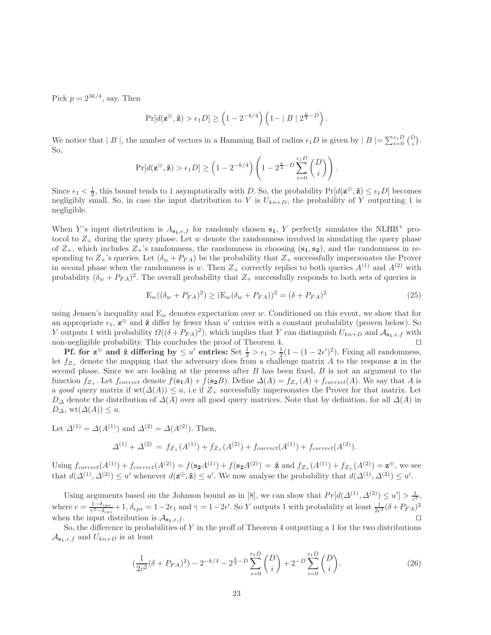Pick  $p = 2^{3k/4}$ , say. Then

$$
\Pr[d(\mathbf{z}^{\oplus}, \mathbf{\hat{z}}) > \epsilon_1 D] \geq \left(1 - 2^{-k/4}\right) \left(1 - |B| \ 2^{\frac{k}{4} - D}\right).
$$

We notice that  $|B|$ , the number of vectors in a Hamming Ball of radius  $\epsilon_1 D$  is given by  $|B| = \sum_{i=0}^{\epsilon_1 D} {D \choose i}$ . So,

$$
\Pr[d(\mathbf{z}^{\oplus}, \hat{\mathbf{z}}) > \epsilon_1 D] \geq \left(1 - 2^{-k/4}\right) \left(1 - 2^{\frac{k}{4} - D} \sum_{i=0}^{\epsilon_1 D} {D \choose i}\right).
$$

Since  $\epsilon_1 < \frac{1}{2}$ , this bound tends to 1 asymptotically with D. So, the probability  $Pr[d(\mathbf{z}^{\oplus}, \hat{\mathbf{z}}) \leq \epsilon_1 D]$  becomes negligibly small. So, in case the input distribution to Y is  $U_{kn+D}$ , the probability of Y outputting 1 is negligible.

When Y's input distribution is  $A_{s_1,\epsilon,f}$  for randomly chosen  $s_1$ , Y perfectly simulates the NLHB<sup>+</sup> protocol to  $Z_+$  during the query phase. Let w denote the randomness involved in simulating the query phase of  $Z_+$ , which includes  $Z_+$ 's randomness, the randomness in choosing  $(s_1, s_2)$ , and the randomness in responding to  $Z_+$ 's queries. Let  $(\delta_w + P_{FA})$  be the probability that  $Z_+$  successfully impersonates the Prover in second phase when the randomness is w. Then  $Z_+$  correctly replies to both queries  $A^{(1)}$  and  $A^{(2)}$  with probability  $(\delta_w + P_{FA})^2$ . The overall probability that  $Z_+$  successfully responds to both sets of queries is

$$
E_w((\delta_w + P_{FA})^2) \ge (E_w(\delta_w + P_{FA}))^2 = (\delta + P_{FA})^2
$$
\n(25)

using Jensen's inequality and  $E_w$  denotes expectation over w. Conditioned on this event, we show that for an appropriate  $\epsilon_1$ ,  $\mathbf{z}^{\oplus}$  and  $\hat{\mathbf{z}}$  differ by fewer than u' entries with a constant probability (proven below). So Y outputs 1 with probability  $\Omega((\delta + P_{FA})^2)$ , which implies that Y can distinguish  $U_{kn+D}$  and  $\mathcal{A}_{s_1,\epsilon,f}$  with non-negligible probability. This concludes the proof of Theorem 4. ⊓⊔

**Pf.** for  $z^{\oplus}$  and  $\hat{z}$  differing by  $\leq u'$  entries: Set  $\frac{1}{2} > \epsilon_1 > \frac{1}{2}(1 - (1 - 2\epsilon')^2)$ . Fixing all randomness, let  $f_{Z_{+}}$  denote the mapping that the adversary does from a challenge matrix A to the response z in the second phase. Since we are looking at the process after  $B$  has been fixed,  $B$  is not an argument to the function  $f_{Z_+}$ . Let  $f_{correct}$  denote  $f(\mathbf{s_1}A) + f(\mathbf{s_2}B)$ . Define  $\Delta(A) = f_{Z_+}(A) + f_{correct}(A)$ . We say that A is a good query matrix if wt( $\Delta(A)$ )  $\leq u$ , i.e if  $Z_+$  successfully impersonates the Prover for that matrix. Let  $D_{\Delta}$  denote the distribution of  $\Delta(A)$  over all good query matrices. Note that by definition, for all  $\Delta(A)$  in  $D_{\Delta}$ , wt $(\Delta(A)) \leq u$ .

Let  $\Delta^{(1)} = \Delta(A^{(1)})$  and  $\Delta^{(2)} = \Delta(A^{(2)})$ . Then,

(

$$
\Delta^{(1)} + \Delta^{(2)} = f_{Z_+}(A^{(1)}) + f_{Z_+}(A^{(2)}) + f_{correct}(A^{(1)}) + f_{correct}(A^{(2)}).
$$

Using  $f_{correct}(A^{(1)}) + f_{correct}(A^{(2)}) = f(\mathbf{s_2}A^{(1)}) + f(\mathbf{s_2}A^{(2)}) = \hat{\mathbf{z}}$  and  $f_{Z_+}(A^{(1)}) + f_{Z_+}(A^{(2)}) = \mathbf{z}^{\oplus}$ , we see that  $d(\Delta^{(1)}, \Delta^{(2)}) \leq u'$  whenever  $d(\mathbf{z}^{\oplus}, \hat{\mathbf{z}}) \leq u'$ . We now analyse the probability that  $d(\Delta^{(1)}, \Delta^{(2)}) \leq u'$ .

Using arguments based on the Johnson bound as in [8], we can show that  $Pr[d(\Delta^{(1)}, \Delta^{(2)}) \le u'] > \frac{1}{c^2}$ , where  $c = \frac{1-\delta_{eps}}{\gamma^2-\delta_{eps}} + 1$ ,  $\delta_{eps} = 1-2\epsilon_1$  and  $\gamma = 1-2\epsilon'$ . So Y outputs 1 with probability at least  $\frac{1}{2c^2}(\delta + P_{FA})^2$ when the input distribution is  $\mathcal{A}_{s_1,\epsilon,f}$ . □

So, the difference in probabilities of  $Y$  in the proff of Theorem 4 outputting a 1 for the two distributions  $\mathcal{A}_{\mathbf{s}_{1},\epsilon,f}$  and  $U_{kn+D}$  is at least

$$
\left(\frac{1}{2c^2}(\delta + P_{FA})^2\right) - 2^{-k/4} - 2^{\frac{k}{4} - D} \sum_{i=0}^{\epsilon_1 D} {D \choose i} + 2^{-D} \sum_{i=0}^{\epsilon_1 D} {D \choose i}.
$$
 (26)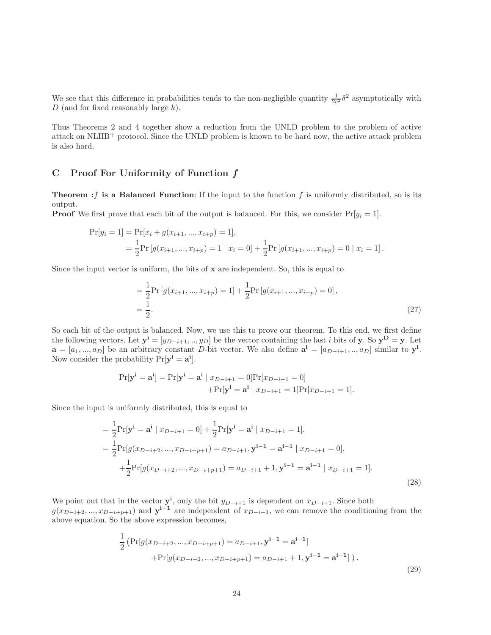We see that this difference in probabilities tends to the non-negligible quantity  $\frac{1}{2c^2}\delta^2$  asymptotically with  $D$  (and for fixed reasonably large  $k$ ).

Thus Theorems 2 and 4 together show a reduction from the UNLD problem to the problem of active attack on NLHB<sup>+</sup> protocol. Since the UNLD problem is known to be hard now, the active attack problem is also hard.

# C Proof For Uniformity of Function f

**Theorem :** f is a Balanced Function: If the input to the function f is uniformly distributed, so is its output.

**Proof** We first prove that each bit of the output is balanced. For this, we consider  $Pr[y_i = 1]$ .

$$
\Pr[y_i = 1] = \Pr[x_i + g(x_{i+1}, ..., x_{i+p}) = 1],
$$
  
=  $\frac{1}{2} \Pr[g(x_{i+1}, ..., x_{i+p}) = 1 | x_i = 0] + \frac{1}{2} \Pr[g(x_{i+1}, ..., x_{i+p}) = 0 | x_i = 1].$ 

Since the input vector is uniform, the bits of  $x$  are independent. So, this is equal to

$$
= \frac{1}{2} \Pr\left[g(x_{i+1},...,x_{i+p})=1\right] + \frac{1}{2} \Pr\left[g(x_{i+1},...,x_{i+p})=0\right],
$$
  

$$
= \frac{1}{2}.
$$
 (27)

So each bit of the output is balanced. Now, we use this to prove our theorem. To this end, we first define the following vectors. Let  $y^i = [y_{D-i+1},..., y_D]$  be the vector containing the last i bits of y. So  $y^D = y$ . Let  $\mathbf{a} = [a_1, ..., a_D]$  be an arbitrary constant D-bit vector. We also define  $\mathbf{a}^i = [a_{D-i+1}, ..., a_D]$  similar to  $\mathbf{y}^i$ . Now consider the probability  $Pr[\mathbf{y}^{\mathbf{i}} = \mathbf{a}^{\mathbf{i}}].$ 

$$
Pr[\mathbf{y}^{\mathbf{i}} = \mathbf{a}^{\mathbf{i}}] = Pr[\mathbf{y}^{\mathbf{i}} = \mathbf{a}^{\mathbf{i}} \mid x_{D-i+1} = 0] Pr[x_{D-i+1} = 0]
$$
  
+
$$
Pr[\mathbf{y}^{\mathbf{i}} = \mathbf{a}^{\mathbf{i}} \mid x_{D-i+1} = 1] Pr[x_{D-i+1} = 1].
$$

Since the input is uniformly distributed, this is equal to

$$
= \frac{1}{2} \Pr[\mathbf{y}^{\mathbf{i}} = \mathbf{a}^{\mathbf{i}} \mid x_{D-i+1} = 0] + \frac{1}{2} \Pr[\mathbf{y}^{\mathbf{i}} = \mathbf{a}^{\mathbf{i}} \mid x_{D-i+1} = 1],
$$
  
\n
$$
= \frac{1}{2} \Pr[g(x_{D-i+2}, ..., x_{D-i+p+1}) = a_{D-i+1}, \mathbf{y}^{\mathbf{i}-1} = \mathbf{a}^{\mathbf{i}-1} \mid x_{D-i+1} = 0],
$$
  
\n
$$
+ \frac{1}{2} \Pr[g(x_{D-i+2}, ..., x_{D-i+p+1}) = a_{D-i+1} + 1, \mathbf{y}^{\mathbf{i}-1} = \mathbf{a}^{\mathbf{i}-1} \mid x_{D-i+1} = 1].
$$
\n(28)

We point out that in the vector  $y^i$ , only the bit  $y_{D-i+1}$  is dependent on  $x_{D-i+1}$ . Since both  $g(x_{D-i+2},...,x_{D-i+p+1})$  and  $y^{i-1}$  are independent of  $x_{D-i+1}$ , we can remove the conditioning from the above equation. So the above expression becomes,

$$
\frac{1}{2} \left( \Pr[g(x_{D-i+2},...,x_{D-i+p+1}) = a_{D-i+1}, \mathbf{y}^{i-1} = \mathbf{a}^{i-1}] + \Pr[g(x_{D-i+2},...,x_{D-i+p+1}) = a_{D-i+1} + 1, \mathbf{y}^{i-1} = \mathbf{a}^{i-1}] \right).
$$
\n(29)